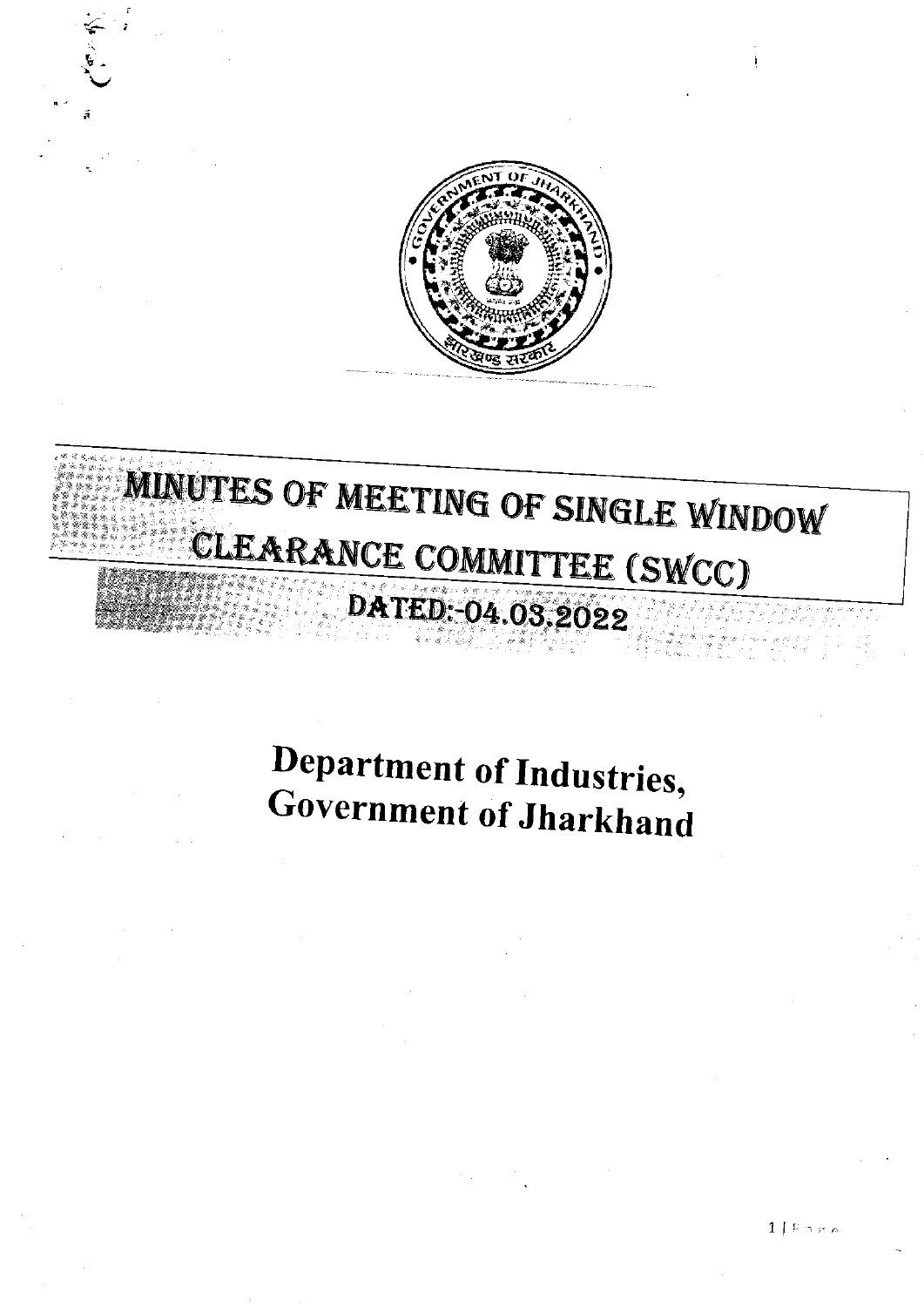

# MINUTES OF MEETING OF SINGLE WINDOW CLEARANCE COMMITTEE (SWCC) DATED: -04.03.2022

## Department of Industries, **Government of Jharkhand**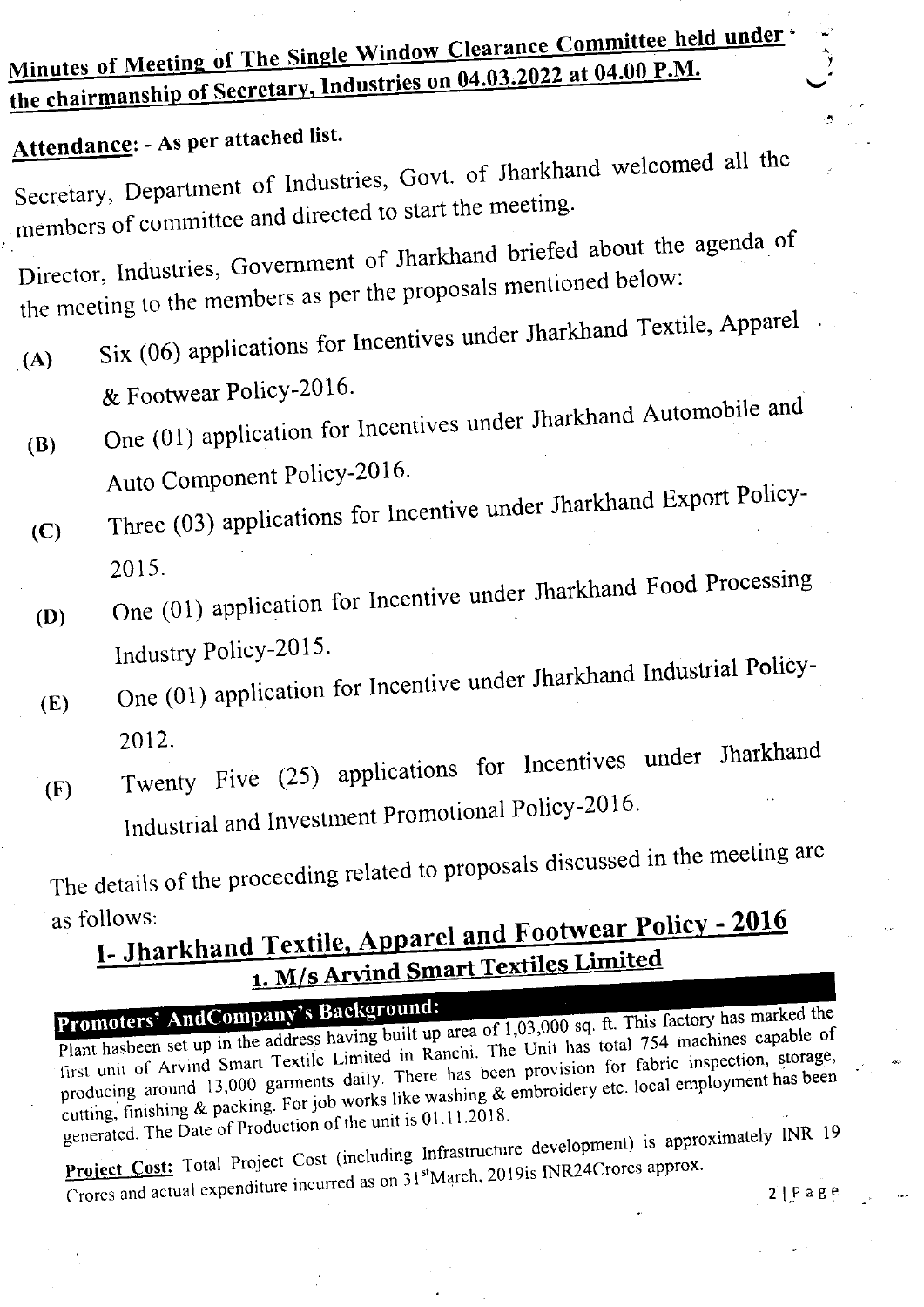## Minutes of Meeting of The Single Window Clearance Committee held under the chairmanship of Secretary, Industries on 04.03.2022 at 04.00 P.M.

### Attendance: - As per attached list.

Secretary, Department of Industries, Govt. of Jharkhand welcomed all the members of committee and directed to start the meeting.

Director, Industries, Government of Jharkhand briefed about the agenda of the meeting to the members as per the proposals mentioned below:

- Six (06) applications for Incentives under Jharkhand Textile, Apparel  $(A)$ & Footwear Policy-2016.
- One (01) application for Incentives under Jharkhand Automobile and  $(B)$ Auto Component Policy-2016.
- Three (03) applications for Incentive under Jharkhand Export Policy- $(C)$ 2015.
- One (01) application for Incentive under Jharkhand Food Processing  $(D)$ Industry Policy-2015.
- One (01) application for Incentive under Jharkhand Industrial Policy- $(E)$ 2012.
- Twenty Five (25) applications for Incentives under Jharkhand  $(F)$ Industrial and Investment Promotional Policy-2016.

The details of the proceeding related to proposals discussed in the meeting are as follows:

## I- Jharkhand Textile, Apparel and Footwear Policy - 2016 1. M/s Arvind Smart Textiles Limited

Promoters' AndCompany's Background: Plant hasbeen set up in the address having built up area of 1,03,000 sq. ft. This factory has marked the first unit of Arvind Smart Textile Limited in Ranchi. The Unit has total 754 machines capable of producing around 13,000 garments daily. There has been provision for fabric inspection, storage, cutting, finishing & packing. For job works like washing & embroidery etc. local employment has been generated. The Date of Production of the unit is 01.11.2018.

Project Cost: Total Project Cost (including Infrastructure development) is approximately INR 19 Crores and actual expenditure incurred as on 31<sup>st</sup>March, 2019is INR24Crores approx.  $2|P$ age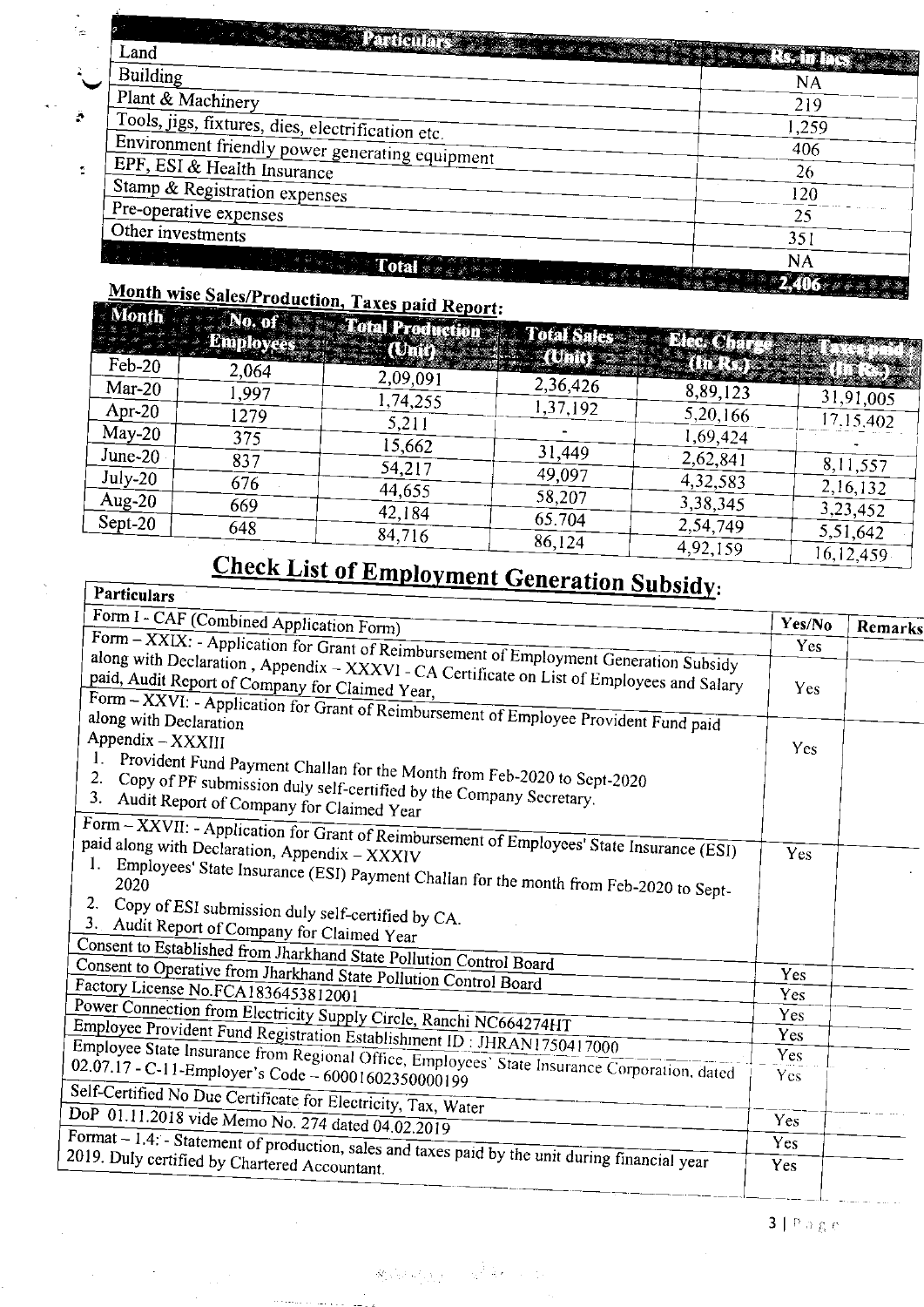| <b>CONSTRUCT Particulars of a state of the set of the Second State of the Second State of the Second State of the Second State of the Second State of the Second State of the Second State of the Second State of the Second Sta</b> |                        |
|--------------------------------------------------------------------------------------------------------------------------------------------------------------------------------------------------------------------------------------|------------------------|
| Land                                                                                                                                                                                                                                 | <b>Andrew Rodulost</b> |
| Building                                                                                                                                                                                                                             | NA                     |
| Plant & Machinery                                                                                                                                                                                                                    | 219                    |
| Tools, jigs, fixtures, dies, electrification etc.                                                                                                                                                                                    | 1,259                  |
| Environment friendly power generating equipment                                                                                                                                                                                      | 406                    |
| EPF, ESI & Health Insurance                                                                                                                                                                                                          | 26                     |
| Stamp & Registration expenses                                                                                                                                                                                                        | 120                    |
| Pre-operative expenses                                                                                                                                                                                                               | 25                     |
| Other investments                                                                                                                                                                                                                    | 351                    |
|                                                                                                                                                                                                                                      | NA                     |
| $\mathbf{R}$ and $\mathbf{R}$                                                                                                                                                                                                        | <b>MARK ALAK ALAK</b>  |

### Month wise Sales/Production, Taxes paid Report:<br>Month William Month William Property Department Month

|             | Employee | <b>Composition of the Conduction of All Sales of Bleet Ch</b>                                                                      |                  |          |           |
|-------------|----------|------------------------------------------------------------------------------------------------------------------------------------|------------------|----------|-----------|
| $Feb-20$    | 2,064    | <b>Content Content Content Content Content Content Content Content Content Content Content Content Content Content</b><br>2,09,091 |                  |          |           |
| $Mar-20$    | .997     | 1,74,255                                                                                                                           | 2,36,426         | 8,89,123 | 31,91,005 |
| Apr-20      | 1279     | 5,211                                                                                                                              | 1,37,192         | 5,20,166 | 17.15.402 |
| $May-20$    | 375      | 15,662                                                                                                                             |                  | 1,69,424 |           |
| June- $201$ | 837      | 54,217                                                                                                                             | 31,449           | 2,62,841 | 8,11,557  |
| $July-20$   | 676      | 44,655                                                                                                                             | 49,097           | 4,32,583 | 2,16,132  |
| Aug-20      | 669      | 42,184                                                                                                                             | 58,207           | 3,38,345 | 3,23,452  |
| Sept-20     | 648      | 84,716                                                                                                                             | 65.704<br>86,124 | 2,54,749 | 5,51,642  |
|             | ⌒™<br>.  |                                                                                                                                    |                  | 4,92,159 | 16,12,459 |

## **Check List of Employment Generation Subsidy:**

| <u><b>Express inche Generation Subsidy:</b></u><br>Particulars                                                                                                                                                                                                                                                                                                                                                        |        |         |
|-----------------------------------------------------------------------------------------------------------------------------------------------------------------------------------------------------------------------------------------------------------------------------------------------------------------------------------------------------------------------------------------------------------------------|--------|---------|
| Form I - CAF (Combined Application Form)                                                                                                                                                                                                                                                                                                                                                                              | Yes/No | Remarks |
|                                                                                                                                                                                                                                                                                                                                                                                                                       | Yes    |         |
| Form - XXIX: - Application for Grant of Reimbursement of Employment Generation Subsidy<br>along with Declaration, Appendix - XXXVI - CA Certificate on List of Employees and Salary<br>paid, Audit Report of Company for Claimed Year,<br>Form - XXVI: - Application for Grant of Reimbursement of Employee Provident Fund paid                                                                                       | Yes    |         |
| Appendix - XXXIII<br>1.<br>Provident Fund Payment Challan for the Month from Feb-2020 to Sept-2020<br>$\mathbf{2}$ .<br>Copy of PF submission duly self-certified by the Company Secretary.<br>3.<br>Audit Report of Company for Claimed Year                                                                                                                                                                         | Yes    |         |
| Form - XXVII: - Application for Grant of Reimbursement of Employees' State Insurance (ESI)<br>paid along with Declaration, Appendix - XXXIV<br>Employees' State Insurance (ESI) Payment Challan for the month from Feb-2020 to Sept-<br>2.<br>Copy of ESI submission duly self-certified by CA.<br>3. Audit Report of Company for Claimed Year<br>Consent to Established from Jharkhand State Pollution Control Board | Yes    |         |
| Consent to Operative from Jharkhand State Pollution Control Board                                                                                                                                                                                                                                                                                                                                                     | Yes    |         |
| Factory License No.FCA1836453812001                                                                                                                                                                                                                                                                                                                                                                                   | Yes    |         |
| Power Connection from Electricity Supply Circle, Ranchi NC664274HT                                                                                                                                                                                                                                                                                                                                                    | Yes    |         |
| Employee Provident Fund Registration Establishment ID: JHRAN1750417000                                                                                                                                                                                                                                                                                                                                                | Yes    |         |
|                                                                                                                                                                                                                                                                                                                                                                                                                       | Yes    |         |
| Employee State Insurance from Regional Office, Employees' State Insurance Corporation, dated<br>02.07.17 - C-11-Employer's Code - 60001602350000199<br>Self-Certified No Due Certificate for Electricity, Tax, Water                                                                                                                                                                                                  | Yes.   |         |
| DoP 01.11.2018 vide Memo No. 274 dated 04.02.2019                                                                                                                                                                                                                                                                                                                                                                     | Yes    |         |
|                                                                                                                                                                                                                                                                                                                                                                                                                       | Yes    |         |
| Format – 1.4. Statement of production, sales and taxes paid by the unit during financial year<br>2019. Duly certified by Chartered Accountant.                                                                                                                                                                                                                                                                        | Yes    |         |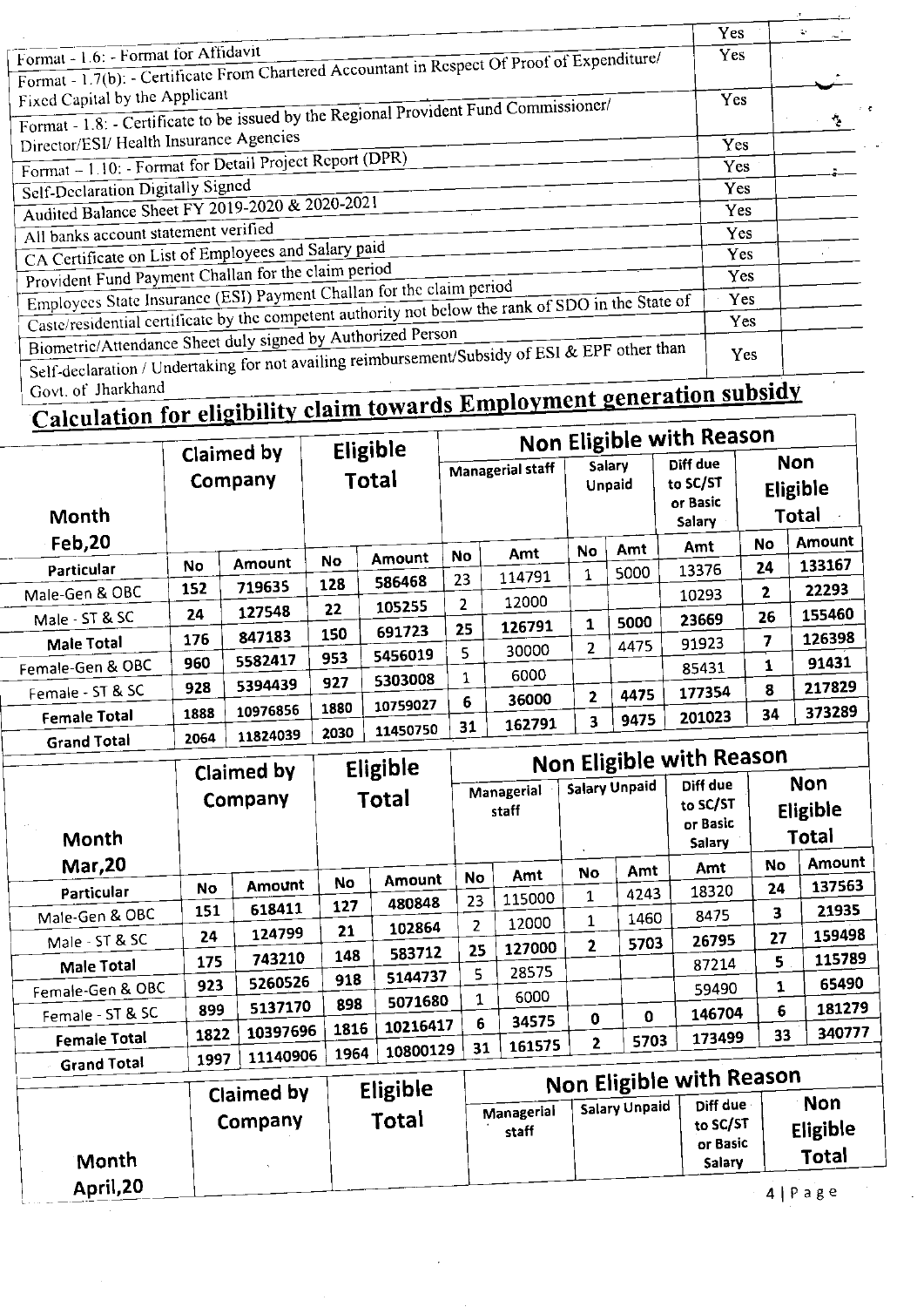|                                                                                                                                                              | Yes        |    |
|--------------------------------------------------------------------------------------------------------------------------------------------------------------|------------|----|
| Format - 1.6: - Format for Affidavit<br>Format - 1.7(b): - Certificate From Chartered Accountant in Respect Of Proof of Expenditure/                         | Yes        |    |
| Fixed Capital by the Applicant<br>Format - 1.8: - Certificate to be issued by the Regional Provident Fund Commissioner/                                      | <b>Yes</b> | €. |
| Director/ESI/ Health Insurance Agencies                                                                                                                      | Yes        |    |
| Format - 1.10: - Format for Detail Project Report (DPR)                                                                                                      | Yes.       |    |
| Self-Declaration Digitally Signed                                                                                                                            | Yes        |    |
| Audited Balance Sheet FY 2019-2020 & 2020-2021                                                                                                               | Yes        |    |
| All banks account statement verified                                                                                                                         | Yes        |    |
| CA Certificate on List of Employees and Salary paid                                                                                                          | Yes        |    |
| Provident Fund Payment Challan for the claim period                                                                                                          | Yes        |    |
| Employees State Insurance (ESI) Payment Challan for the claim period                                                                                         | Yes        |    |
| Caste/residential certificate by the competent authority not below the rank of SDO in the State of                                                           | Yes.       |    |
| Biometric/Attendance Sheet duly signed by Authorized Person<br>Self-declaration / Undertaking for not availing reimbursement/Subsidy of ESI & EPF other than | Yes        |    |

### Govt. of Jharkhand

# Calculation for eligibility claim towards Employment generation subsidy

|                     |                       |          |       | Eligible | Non Eligible with Reason |        |                  |      |                                                   |                                 |        |  |  |  |
|---------------------|-----------------------|----------|-------|----------|--------------------------|--------|------------------|------|---------------------------------------------------|---------------------------------|--------|--|--|--|
| Month               | Claimed by<br>Company |          | Total |          | <b>Managerial staff</b>  |        | Salary<br>Unpaid |      | Diff due<br>to SC/ST<br>or Basic<br><b>Salary</b> | <b>Non</b><br>Eligible<br>Total |        |  |  |  |
| Feb, 20             |                       |          |       |          | No                       | Amt    | <b>No</b>        | Amt  | Amt                                               | No                              | Amount |  |  |  |
| Particular          | No                    | Amount   | No    | Amount   |                          |        | 1                | 5000 | 13376                                             | 24                              | 133167 |  |  |  |
| Male-Gen & OBC      | 152                   | 719635   | 128   | 586468   | 23                       | 114791 |                  |      | 10293                                             | 2                               | 22293  |  |  |  |
|                     | 24                    | 127548   | 22    | 105255   | 2                        | 12000  |                  |      |                                                   | 26                              | 155460 |  |  |  |
| Male - ST & SC      |                       |          | 150   | 691723   | 25                       | 126791 | 1                | 5000 | 23669                                             |                                 |        |  |  |  |
| Male Total          | 176                   | 847183   |       |          | 5.                       | 30000  | 2                | 4475 | 91923                                             | 7                               | 126398 |  |  |  |
| Female-Gen & OBC    | 960                   | 5582417  | 953   | 5456019  |                          |        |                  |      | 85431                                             | 1                               | 91431  |  |  |  |
| Female - ST & SC    | 928                   | 5394439  | 927   | 5303008  | 1                        | 6000   |                  |      | 177354                                            | 8                               | 217829 |  |  |  |
|                     |                       |          | 1880  | 10759027 | 6                        | 36000  | 2                | 4475 |                                                   |                                 |        |  |  |  |
| <b>Female Total</b> | 1888                  | 10976856 |       |          | 31                       | 162791 | 3                | 9475 | 201023                                            | 34                              | 373289 |  |  |  |
| Canad Total         | 2064                  | 11824039 | 2030  | 11450750 |                          |        |                  |      |                                                   |                                 |        |  |  |  |

|                     |      | Claimed by | Eligible<br>Total |          | Non Eligible with Reason |        |                                   |             |                                            |                                        |        |  |  |
|---------------------|------|------------|-------------------|----------|--------------------------|--------|-----------------------------------|-------------|--------------------------------------------|----------------------------------------|--------|--|--|
| Month               |      | Company    |                   |          | Managerial<br>staff      |        | <b>Salary Unpaid</b><br>$\bullet$ |             | Diff due<br>to SC/ST<br>or Basic<br>Salary | <b>Non</b><br><b>Eligible</b><br>Total |        |  |  |
| <b>Mar, 20</b>      |      |            |                   |          | <b>No</b>                | Amt    | No                                | Amt         | Amt                                        | No                                     | Amount |  |  |
| Particular          | No   | Amount     | No                | Amount   |                          | 115000 | 1                                 | 4243        | 18320                                      | 24                                     | 137563 |  |  |
| Male-Gen & OBC      | 151  | 618411     | 127               | 480848   | 23                       |        |                                   | 1460        | 8475                                       | 3                                      | 21935  |  |  |
|                     | 24   | 124799     | 21                | 102864   | 2 <sup>1</sup>           | 12000  | 1                                 |             | 26795                                      | 27                                     | 159498 |  |  |
| Male - ST & SC      |      | 743210     | 148               | 583712   | 25                       | 127000 | $\mathbf{2}$                      | 5703        |                                            |                                        | 115789 |  |  |
| Male Total          | 175  |            |                   | 5144737  | 5                        | 28575  |                                   |             | 87214                                      | 5                                      |        |  |  |
| Female-Gen & OBC    | 923  | 5260526    | 918               |          |                          | 6000   |                                   |             | 59490                                      | 1                                      | 65490  |  |  |
| Female - ST & SC    | 899  | 5137170    | 898               | 5071680  | 1                        |        |                                   |             | 146704                                     | $6\phantom{1}6$                        | 181279 |  |  |
|                     | 1822 | 10397696   | 1816              | 10216417 | 6                        | 34575  | 0                                 | $\mathbf 0$ |                                            |                                        | 340777 |  |  |
| <b>Female Total</b> |      |            |                   | 10800129 | 31                       | 161575 | 2                                 | 5703        | 173499                                     | 33                                     |        |  |  |
| Grand Total         | 1997 | 11140906   | 1964              |          |                          |        |                                   |             |                                            |                                        |        |  |  |

|           | Claimed by | Eligible | <b>Non Eligible with Reason</b> |                      |                                            |                                 |  |  |  |  |  |
|-----------|------------|----------|---------------------------------|----------------------|--------------------------------------------|---------------------------------|--|--|--|--|--|
| Month     | Company    | Total    | Managerial<br>staff             | <b>Salary Unpaid</b> | Diff due<br>to SC/ST<br>or Basic<br>Salary | <b>Non</b><br>Eligible<br>Total |  |  |  |  |  |
| April, 20 |            |          |                                 |                      |                                            | $4   P \nexists g e$            |  |  |  |  |  |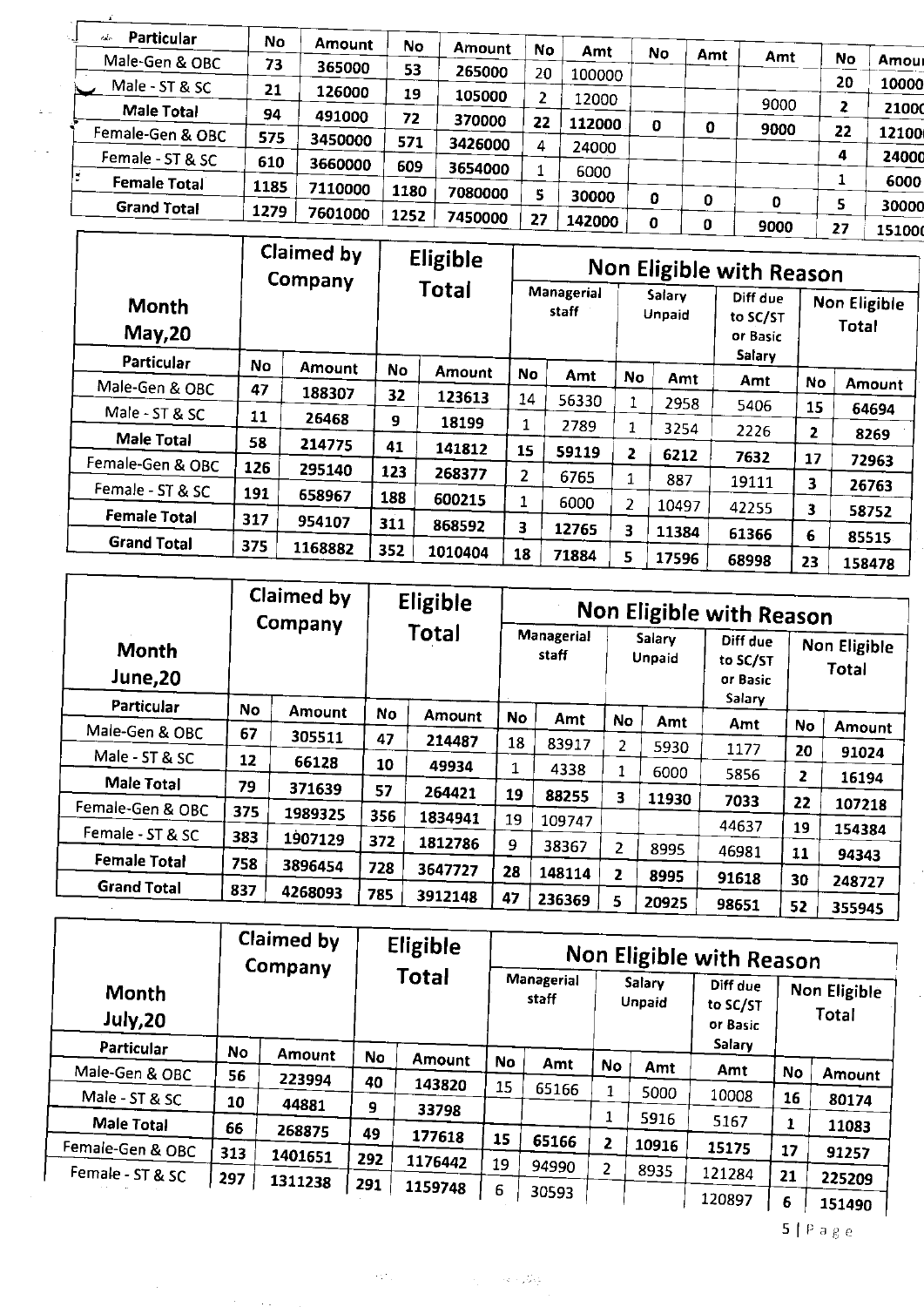| Particular<br>$\epsilon_{\rm obs}$<br>$\cdot$ 1 | No   | Amount               | No   | Amount  | No | Amt    | No |     |      |           |       |  |  |
|-------------------------------------------------|------|----------------------|------|---------|----|--------|----|-----|------|-----------|-------|--|--|
| Male-Gen & OBC                                  | 73   | 365000               | 53   | 265000  |    |        |    | Amt | Amt  | <b>No</b> | Amour |  |  |
| Male - ST & SC                                  | 21   | 126000               |      |         | 20 | 100000 |    |     |      | 20        | 10000 |  |  |
| <b>Male Total</b>                               |      |                      | 19   | 105000  |    | 12000  |    |     | 9000 | 2         | 21000 |  |  |
|                                                 | 94   | 491000               | 72   | 370000  | 22 | 112000 | O  | o   | 9000 | 22        |       |  |  |
| Female-Gen & OBC                                | 575  | 3450000              | 571  | 3426000 | 4  | 24000  |    |     |      |           | 12100 |  |  |
| Female - ST & SC                                | 610  | 3660000              | 609  | 3654000 |    |        |    |     |      | 4         | 24000 |  |  |
| <b>Female Total</b>                             | 1185 | 7110000              | 1180 |         |    | 6000   |    |     |      |           | 6000  |  |  |
| <b>Grand Total</b>                              | 1279 |                      |      | 7080000 |    | 30000  | O  | 0   | 0    | 5         | 30000 |  |  |
|                                                 |      | 7601000              | 1252 | 7450000 | 27 | 142000 | Ω  | 0   | 9000 | 27        | 15100 |  |  |
|                                                 | ---  | $\ddot{\phantom{1}}$ |      |         |    |        |    |     |      |           |       |  |  |

 $\mathcal{N}_{\mathcal{A}}$ 

|                     |           | Claimed by<br>Company |           | Eligible      |                | Non Eligible with Reason |    |                  |                                            |                |                              |  |  |  |
|---------------------|-----------|-----------------------|-----------|---------------|----------------|--------------------------|----|------------------|--------------------------------------------|----------------|------------------------------|--|--|--|
| Month<br>May, 20    |           |                       |           | Total         |                | Managerial<br>staff      |    | Salary<br>Unpaid | Diff due<br>to SC/ST<br>or Basic<br>Salary |                | Non Eligible<br><b>Total</b> |  |  |  |
| Particular          | <b>No</b> | <b>Amount</b>         | <b>No</b> | <b>Amount</b> | No             | Amt                      | No | Amt              | Amt                                        |                |                              |  |  |  |
| Male-Gen & OBC      | 47        | 188307                | 32        | 123613        | 14             | 56330                    | 1  |                  |                                            | No             | Amount                       |  |  |  |
| Male - ST & SC      | 11        | 26468                 | 9         | 18199         |                |                          |    | 2958             | 5406                                       | 15             | 64694                        |  |  |  |
| Male Total          | 58        | 214775                |           |               | 1              | 2789                     | 1  | 3254             | 2226                                       | $\overline{2}$ | 8269                         |  |  |  |
| Female-Gen & OBC    |           |                       | 41        | 141812        | 15             | 59119                    | 2  | 6212             | 7632                                       | 17             | 72963                        |  |  |  |
|                     | 126       | 295140                | 123       | 268377        | $\overline{2}$ | 6765                     | 1  | 887              | 19111                                      | 3              | 26763                        |  |  |  |
| Female - ST & SC    | 191       | 658967                | 188       | 600215        | 1              | 6000                     | 2  |                  |                                            |                |                              |  |  |  |
| <b>Female Total</b> | 317       | 954107                | 311       |               |                |                          |    | 10497            | 42255                                      | 3              | 58752                        |  |  |  |
| <b>Grand Total</b>  |           |                       |           | 868592        | 3              | 12765                    | 3  | 11384            | 61366                                      | 6              | 85515                        |  |  |  |
|                     | 375       | 1168882               | 352       | 1010404       | 18             | 71884                    | 5. | 17596            | 68998                                      | 23             | 158478                       |  |  |  |

|                          |     | Claimed by<br>Company |     | Eligible<br>Total |    | Non Eligible with Reason   |    |                  |                                  |                |                       |  |  |  |
|--------------------------|-----|-----------------------|-----|-------------------|----|----------------------------|----|------------------|----------------------------------|----------------|-----------------------|--|--|--|
| <b>Month</b><br>June, 20 |     |                       |     |                   |    | <b>Managerial</b><br>staff |    | Salary<br>Unpaid | Diff due<br>to SC/ST<br>or Basic |                | Non Eligible<br>Total |  |  |  |
| Particular               | No  | Amount                | No  | <b>Amount</b>     | No | Amt                        | No | Amt              | Salary<br>Amt                    |                |                       |  |  |  |
| Male-Gen & OBC           | 67  | 305511                | 47  | 214487            | 18 | 83917                      |    |                  |                                  | <b>No</b>      | Amount                |  |  |  |
| Male - ST & SC           | 12  | 66128                 | 10  |                   |    |                            | 2  | 5930             | 1177                             | 20             | 91024                 |  |  |  |
| <b>Male Total</b>        | 79  |                       |     | 49934             | 1  | 4338                       | 1  | 6000             | 5856                             | $\overline{2}$ | 16194                 |  |  |  |
|                          |     | 371639                | 57  | 264421            | 19 | 88255                      | 3  | 11930            | 7033                             | 22             | 107218                |  |  |  |
| Female-Gen & OBC         | 375 | 1989325               | 356 | 1834941           | 19 | 109747                     |    |                  |                                  |                |                       |  |  |  |
| Female - ST & SC         | 383 | 1907129               | 372 | 1812786           |    |                            |    |                  | 44637                            | 19             | 154384                |  |  |  |
| <b>Female Total</b>      |     |                       |     |                   | 9  | 38367                      | 2  | 8995             | 46981                            | 11             | 94343                 |  |  |  |
|                          | 758 | 3896454               | 728 | 3647727           | 28 | 148114                     | 2  | 8995             | 91618                            | 30             | 248727                |  |  |  |
| <b>Grand Total</b>       | 837 | 4268093               | 785 | 3912148           | 47 | 236369                     | 5  | 20925            | 98651                            | 52             | 355945                |  |  |  |

|                          |              | Claimed by<br>Company |     | Eligible      | Non Eligible with Reason |                     |           |                  |                                  |           |                              |  |  |
|--------------------------|--------------|-----------------------|-----|---------------|--------------------------|---------------------|-----------|------------------|----------------------------------|-----------|------------------------------|--|--|
| <b>Month</b><br>July, 20 |              |                       |     | <b>Total</b>  |                          | Managerial<br>staff |           | Salary<br>Unpaid | Diff due<br>to SC/ST<br>or Basic |           | Non Eligible<br><b>Total</b> |  |  |
| Particular               | No<br>Amount |                       | No  | <b>Amount</b> | No                       |                     |           |                  | Salary                           |           |                              |  |  |
| Male-Gen & OBC           | 56           | 223994                | 40  |               |                          | Amt                 | <b>No</b> | Amt              | Amt                              | <b>No</b> | Amount                       |  |  |
| Male - ST & SC           | 10           | 44881                 |     | 143820        | 15                       | 65166               | 1         | 5000             | 10008                            | 16        | 80174                        |  |  |
| <b>Male Total</b>        |              |                       | 9   | 33798         |                          |                     | 1         | 5916             | 5167                             | 1         | 11083                        |  |  |
|                          | 66           | 268875                | 49  | 177618        | 15                       | 65166               | 2         | 10916            |                                  |           |                              |  |  |
| Female-Gen & OBC         | 313          | 1401651               | 292 | 1176442       | 19                       |                     |           |                  | 15175                            | 17        | 91257                        |  |  |
| Female - ST & SC         | 297          | 1311238               | 291 |               |                          | 94990               | 2         | 8935             | 121284                           | 21        | 225209                       |  |  |
|                          |              |                       |     | 1159748       | 6                        | 30593               |           |                  | 120897                           | 6         | 151490                       |  |  |

**The Constant** 

 $5$  | P a g e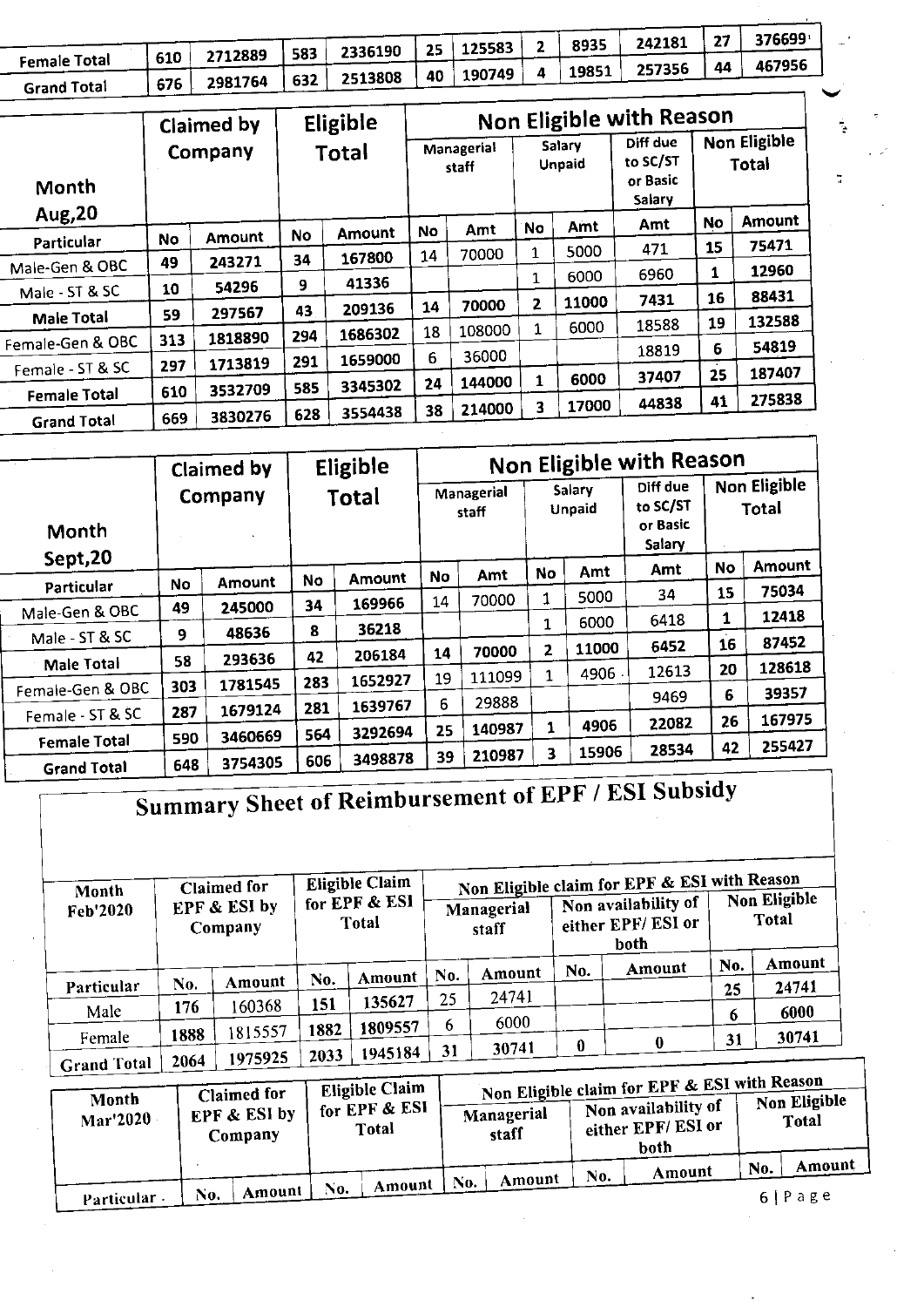|                     |     |               |        | 2336190   25                            | 125583 | 8935  | 242181 |    | 376699 |
|---------------------|-----|---------------|--------|-----------------------------------------|--------|-------|--------|----|--------|
| <b>Female Total</b> | 610 | 2712889       | $+583$ |                                         |        | 19851 | 257356 | 44 | 467956 |
| <b>Grand Total</b>  | 676 | 2981764   632 |        | $\sim$   2513808   40   190749   $\sim$ |        |       |        |    |        |

|                     |     | Claimed by |           | Eligible | Non Eligible with Reason |        |                  |       |                                            |    |                       |  |
|---------------------|-----|------------|-----------|----------|--------------------------|--------|------------------|-------|--------------------------------------------|----|-----------------------|--|
| Month               |     | Company    | Total     |          | Managerial<br>staff      |        | Salary<br>Unpaid |       | Diff due<br>to SC/ST<br>or Basic<br>Salary |    | Non Eligible<br>Total |  |
| Aug, 20             |     |            | <b>No</b> | Amount   | No                       | Amt    | No               | Amt   | Amt                                        | No | Amount                |  |
| Particular          | No  | Amount     |           |          |                          | 70000  | 1                | 5000  | 471                                        | 15 | 75471                 |  |
| Male-Gen & OBC      | 49  | 243271     | 34        | 167800   | 14                       |        |                  |       | 6960                                       | 1  | 12960                 |  |
| Male - ST & SC      | 10  | 54296      | 9         | 41336    |                          |        | 1                | 6000  |                                            |    |                       |  |
|                     |     | 297567     | 43        | 209136   | 14                       | 70000  | 2                | 11000 | 7431                                       | 16 | 88431                 |  |
| <b>Male Total</b>   | 59  |            |           |          | 18                       | 108000 | 1                | 6000  | 18588                                      | 19 | 132588                |  |
| Female-Gen & OBC    | 313 | 1818890    | 294       | 1686302  |                          |        |                  |       | 18819                                      | 6  | 54819                 |  |
| Female - ST & SC    | 297 | 1713819    | 291       | 1659000  | 6                        | 36000  |                  |       |                                            |    |                       |  |
|                     |     | 3532709    | 585       | 3345302  | 24                       | 144000 | 1                | 6000  | 37407                                      | 25 | 187407                |  |
| <b>Female Total</b> | 610 |            |           |          |                          | 214000 | 3                | 17000 | 44838                                      | 41 | 275838                |  |
| <b>Grand Total</b>  | 669 | 3830276    | 628       | 3554438  | 38                       |        |                  |       |                                            |    |                       |  |

|                     |           | Claimed by |       | Eligible | Non Eligible with Reason |        |                         |       |                                            |    |                              |  |
|---------------------|-----------|------------|-------|----------|--------------------------|--------|-------------------------|-------|--------------------------------------------|----|------------------------------|--|
| Month               |           | Company    | Total |          | Managerial<br>staff      |        | Salary<br><b>Unpaid</b> |       | Diff due<br>to SC/ST<br>or Basic<br>Salary |    | <b>Non Eligible</b><br>Total |  |
| Sept, 20            |           |            |       | Amount   | <b>No</b>                | Amt    | No                      | Amt   | Amt                                        | No | Amount                       |  |
| Particular          | <b>No</b> | Amount     | No    |          | 14                       | 70000  | 1                       | 5000  | 34                                         | 15 | 75034                        |  |
| Male-Gen & OBC      | 49        | 245000     | 34    | 169966   |                          |        |                         | 6000  | 6418                                       | 1  | 12418                        |  |
| Male - ST & SC      | 9         | 48636      | 8     | 36218    |                          |        | $\mathbf{1}$            |       |                                            | 16 | 87452                        |  |
| <b>Male Total</b>   | 58        | 293636     | 42    | 206184   | 14                       | 70000  | 2                       | 11000 | 6452                                       |    |                              |  |
|                     | 303       | 1781545    | 283   | 1652927  | 19                       | 111099 | 1                       | 4906  | 12613                                      | 20 | 128618                       |  |
| Female-Gen & OBC    |           |            | 281   | 1639767  | 6                        | 29888  |                         |       | 9469                                       | 6  | 39357                        |  |
| Female - ST & SC    | 287       | 1679124    |       |          |                          | 140987 | 1                       | 4906  | 22082                                      | 26 | 167975                       |  |
| <b>Female Total</b> | 590       | 3460669    | 564   | 3292694  | 25                       |        |                         |       | 28534                                      | 42 | 255427                       |  |
| <b>Grand Total</b>  | 648       | 3754305    | 606   | 3498878  | 39                       | 210987 | 3                       | 15906 |                                            |    |                              |  |

Summary Sheet of Reimbursement of EPF / ESI Subsidy

| Month<br>Feb'2020  | <b>Claimed for</b><br><b>EPF &amp; ESI by</b><br>Company |         | <b>Eligible Claim</b><br>for EPF & ESI<br>Total |         | Managerial<br>staff |        |     | Non Eligible claim for EPF & ESI with Reason<br>Non availability of<br>either EPF/ESI or<br>both | <b>Non Eligible</b><br>Total |        |
|--------------------|----------------------------------------------------------|---------|-------------------------------------------------|---------|---------------------|--------|-----|--------------------------------------------------------------------------------------------------|------------------------------|--------|
|                    |                                                          |         |                                                 |         | No.                 | Amount | No. | Amount                                                                                           | No.                          | Amount |
| Particular         | No.                                                      | Amount  | No.                                             | Amount  |                     |        |     |                                                                                                  | 25                           | 24741  |
| Male               | 176                                                      | 160368  | 151                                             | 135627  | 25                  | 24741  |     |                                                                                                  |                              | 6000   |
|                    |                                                          | 1815557 | 1882                                            | 1809557 | 6                   | 6000   |     |                                                                                                  | 6                            |        |
| Female             | 1888                                                     |         |                                                 |         |                     | 30741  | 0   | $\bf{0}$                                                                                         | 31                           | 30741  |
| <b>Grand Total</b> | 2064                                                     | 1975925 | 2033                                            | 1945184 | 31                  |        |     |                                                                                                  |                              |        |

| Month<br>Mar'2020 | <b>Claimed for</b><br><b>EPF &amp; ESI by</b><br>Company | Eligible Claim<br>$\overline{\phantom{a}}$ for EPF & ESI $\overline{\phantom{a}}$<br>Total |               | Non Eligible claim for EPF & ESI with Reason<br>Non availability of<br>either EPF/ESI or<br>both | Non Eligible<br><b>Total</b> |
|-------------------|----------------------------------------------------------|--------------------------------------------------------------------------------------------|---------------|--------------------------------------------------------------------------------------------------|------------------------------|
|                   | Amount<br>No.                                            | Amount<br>No.                                                                              | Amount<br>No. | Amount<br>No.                                                                                    | Amount<br>No.                |
| Particular -      |                                                          |                                                                                            |               |                                                                                                  | 6 Page                       |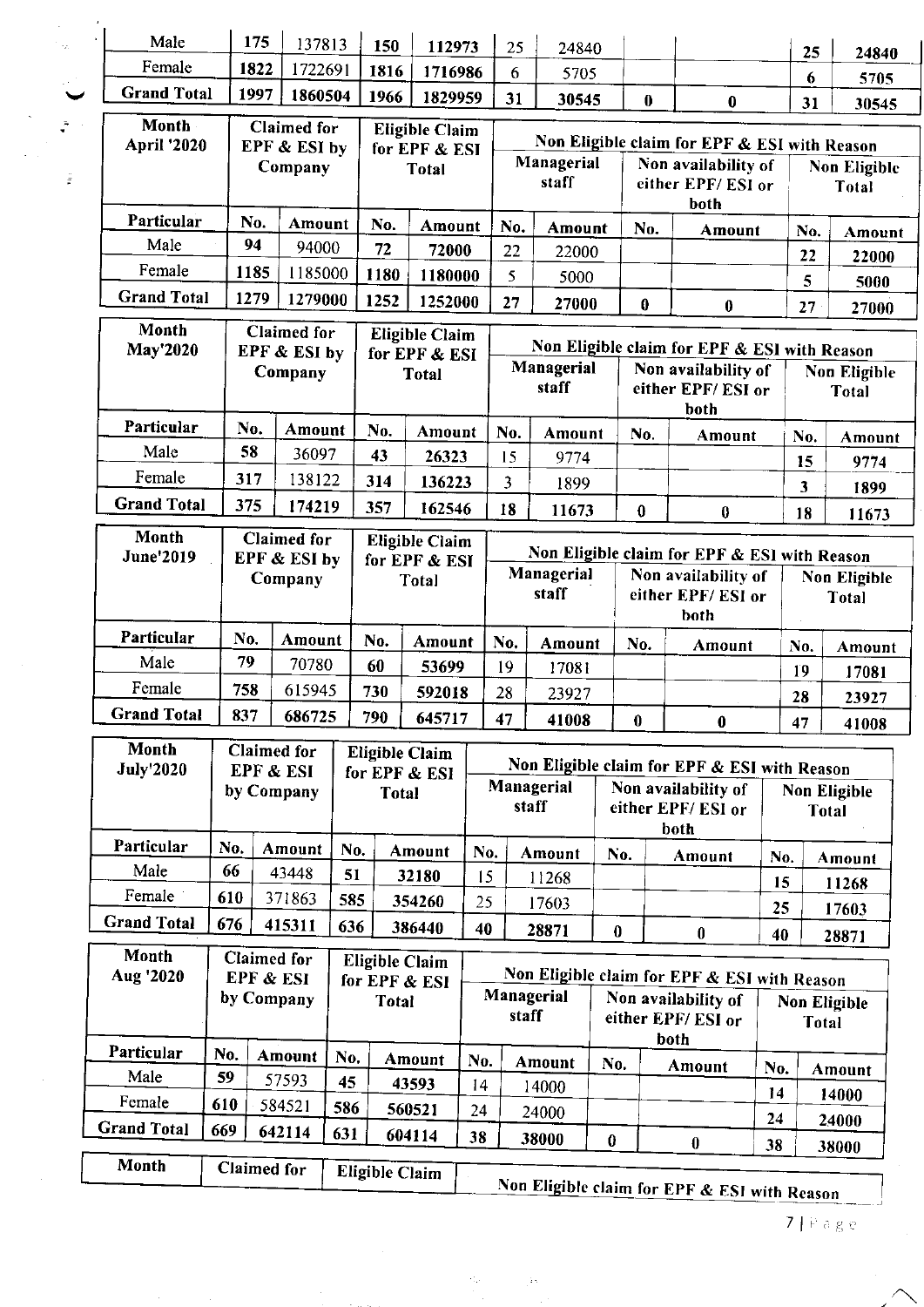| Male                        |     | 175                |                          |                                                               |                       |                                        |     |                                                                 |               |          |                              |                                                                     |                     |              |                              |  |
|-----------------------------|-----|--------------------|--------------------------|---------------------------------------------------------------|-----------------------|----------------------------------------|-----|-----------------------------------------------------------------|---------------|----------|------------------------------|---------------------------------------------------------------------|---------------------|--------------|------------------------------|--|
| Female                      |     |                    | 137813                   |                                                               | 150                   | 112973                                 |     | 25                                                              | 24840         |          |                              |                                                                     |                     | 25           | 24840                        |  |
| <b>Grand Total</b>          |     | 1822               | 1722691                  |                                                               | 1816                  | 1716986                                |     | 6                                                               | 5705          |          |                              |                                                                     |                     | 6            | 5705                         |  |
|                             |     | 1997               | 1860504                  |                                                               | 1966                  | 1829959                                |     | 31                                                              | 30545         |          | $\bf{0}$                     | $\pmb{0}$                                                           |                     | 31           | 30545                        |  |
| Month<br><b>April '2020</b> |     |                    | <b>Claimed</b> for       |                                                               |                       | <b>Eligible Claim</b>                  |     | Non Eligible claim for EPF & ESI with Reason                    |               |          |                              |                                                                     |                     |              |                              |  |
|                             |     |                    | EPF & ESI by<br>Company  |                                                               |                       | for EPF & ESI<br><b>Total</b>          |     |                                                                 | Managerial    |          |                              | Non availability of                                                 | <b>Non Eligible</b> |              |                              |  |
|                             |     |                    |                          |                                                               |                       |                                        |     |                                                                 | staff         |          |                              | either EPF/ESI or                                                   |                     | Total        |                              |  |
| Particular                  |     |                    |                          |                                                               |                       |                                        |     |                                                                 |               |          |                              | both                                                                |                     |              |                              |  |
| Male                        |     | No.<br>94          | Amount                   |                                                               | No.                   | <b>Amount</b>                          |     | No.                                                             | <b>Amount</b> |          | No.                          | Amount                                                              |                     | No.          | Amount                       |  |
| Female                      |     |                    | 94000                    |                                                               | 72                    | 72000                                  |     | 22                                                              | 22000         |          |                              |                                                                     |                     | 22           | 22000                        |  |
|                             |     | 1185               | 1185000                  |                                                               | 1180                  | 1180000                                |     | 5                                                               | 5000          |          |                              |                                                                     |                     | 5            | 5000                         |  |
| <b>Grand Total</b>          |     | 1279               | 1279000                  |                                                               | 1252                  | 1252000                                |     | 27                                                              | 27000         |          | $\bf{0}$                     | $\bf{0}$                                                            |                     | 27           | 27000                        |  |
| Month                       |     |                    | Claimed for              |                                                               |                       | Eligible Claim                         |     |                                                                 |               |          |                              |                                                                     |                     |              |                              |  |
| May'2020                    |     |                    | EPF & ESI by             |                                                               |                       | for EPF & ESI                          |     |                                                                 | Managerial    |          |                              | Non Eligible claim for EPF & ESI with Reason<br>Non availability of |                     |              |                              |  |
|                             |     |                    | Company                  |                                                               |                       | <b>Total</b>                           |     |                                                                 | staff         |          |                              | either EPF/ESI or                                                   |                     |              | Non Eligible<br><b>Total</b> |  |
|                             |     |                    |                          |                                                               |                       |                                        |     |                                                                 |               |          |                              | both                                                                |                     |              |                              |  |
| Particular                  |     | No.                | Amount                   |                                                               | No.                   | <b>Amount</b>                          |     | No.                                                             | <b>Amount</b> |          | No.                          | <b>Amount</b>                                                       |                     | No.          | Amount                       |  |
| Male                        |     | 58                 | 36097                    |                                                               | 43                    | 26323                                  |     | 15                                                              | 9774          |          |                              |                                                                     |                     | 15           | 9774                         |  |
| Female                      |     | 317                | 138122                   |                                                               | 314                   | 136223                                 |     | 3                                                               | 1899          |          |                              |                                                                     |                     | $\mathbf{3}$ | 1899                         |  |
| <b>Grand Total</b>          |     | 375                | 174219                   |                                                               | 357                   | 162546                                 |     | 18                                                              | 11673         |          | $\bf{0}$                     | $\bf{0}$                                                            |                     | 18           | 11673                        |  |
| Month                       |     |                    | <b>Claimed</b> for       |                                                               |                       | <b>Eligible Claim</b>                  |     |                                                                 |               |          |                              |                                                                     |                     |              |                              |  |
| <b>June'2019</b>            |     |                    | EPF & ESI by             | Non Eligible claim for EPF & ESI with Reason<br>for EPF & ESI |                       |                                        |     |                                                                 |               |          |                              |                                                                     |                     |              |                              |  |
|                             |     |                    | Company                  |                                                               |                       | <b>Total</b>                           |     | Managerial<br>Non availability of<br>staff<br>either EPF/ESI or |               |          | <b>Non Eligible</b><br>Total |                                                                     |                     |              |                              |  |
|                             |     |                    |                          |                                                               |                       |                                        |     |                                                                 |               |          |                              | both                                                                |                     |              |                              |  |
| Particular                  |     | No.                | Amount                   |                                                               | No.                   | Amount                                 |     | No.                                                             | <b>Amount</b> |          | No.                          | <b>Amount</b>                                                       |                     | No.          | <b>Amount</b>                |  |
| Male                        |     | 79                 | 70780                    |                                                               | 60                    | 53699                                  |     | 19                                                              | 17081         |          |                              |                                                                     |                     | 19           | 17081                        |  |
| Female                      |     | 758                | 615945                   |                                                               | 730                   | 592018                                 |     | 28                                                              | 23927         |          |                              |                                                                     |                     | 28           | 23927                        |  |
| <b>Grand Total</b>          | 837 |                    | 686725                   |                                                               | 790                   | 645717                                 |     | 47                                                              | 41008         |          | $\bf{0}$                     | $\bf{0}$                                                            |                     | 47           |                              |  |
|                             |     |                    |                          |                                                               |                       |                                        |     |                                                                 |               |          |                              |                                                                     |                     |              | 41008                        |  |
| Month<br><b>July'2020</b>   |     |                    | Claimed for<br>EPF & ESI |                                                               |                       | <b>Eligible Claim</b><br>for EPF & ESI |     |                                                                 |               |          |                              | Non Eligible claim for EPF & ESI with Reason                        |                     |              |                              |  |
|                             |     |                    | by Company               |                                                               | Total                 |                                        |     |                                                                 | Managerial    |          |                              | Non availability of                                                 |                     |              | <b>Non Eligible</b>          |  |
|                             |     |                    |                          |                                                               |                       |                                        |     |                                                                 | staff         |          |                              | either EPF/ESI or                                                   |                     |              | <b>Total</b>                 |  |
| Particular                  | No. |                    | Amount                   |                                                               |                       |                                        |     |                                                                 |               |          |                              | both                                                                |                     |              |                              |  |
| Male                        | 66  |                    | 43448                    | No.                                                           |                       | Amount                                 | No. |                                                                 | Amount        | No.      |                              | <b>Amount</b>                                                       | No.                 |              | Amount                       |  |
| Female                      | 610 |                    | 371863                   | 51                                                            |                       | 32180                                  | 15  |                                                                 | 11268         |          |                              |                                                                     | 15                  |              | 11268                        |  |
| <b>Grand Total</b>          | 676 |                    |                          | 585                                                           |                       | 354260                                 | 25  |                                                                 | 17603         |          |                              |                                                                     | 25                  |              | 17603                        |  |
|                             |     |                    | 415311                   | 636                                                           |                       | 386440                                 | 40  |                                                                 | 28871         | $\bf{0}$ |                              | $\bf{0}$                                                            | 40                  |              | 28871                        |  |
| Month                       |     |                    | <b>Claimed</b> for       |                                                               |                       | <b>Eligible Claim</b>                  |     |                                                                 |               |          |                              |                                                                     |                     |              |                              |  |
| Aug '2020                   |     | EPF & ESI          | by Company               |                                                               |                       | for EPF & ESI                          |     | Non Eligible claim for EPF & ESI with Reason<br>Managerial      |               |          |                              | Non availability of                                                 |                     |              |                              |  |
|                             |     |                    |                          |                                                               | <b>Total</b>          |                                        |     | staff                                                           |               |          |                              | either EPF/ESI or                                                   |                     | Total        | Non Eligible                 |  |
|                             |     |                    |                          |                                                               |                       |                                        |     |                                                                 |               |          |                              | both                                                                |                     |              |                              |  |
| Particular<br>Male          | No. |                    | Amount                   | No.                                                           |                       | <b>Amount</b>                          | No. |                                                                 | <b>Amount</b> | No.      |                              | <b>Amount</b>                                                       | No.                 |              | <b>Amount</b>                |  |
|                             | 59  |                    | 57593                    | 45                                                            |                       | 43593                                  | 14  |                                                                 | 14000         |          |                              |                                                                     | 14                  |              | 14000                        |  |
| Female                      | 610 |                    | 584521                   | 586                                                           |                       | 560521                                 | 24  |                                                                 | 24000         |          |                              |                                                                     | 24                  |              | 24000                        |  |
| <b>Grand Total</b>          | 669 |                    | 642114                   | 631                                                           |                       | 604114                                 | 38  |                                                                 | 38000         | $\bf{0}$ |                              | $\bf{0}$                                                            | 38                  |              | 38000                        |  |
| Month                       |     | <b>Claimed for</b> |                          |                                                               | <b>Eligible Claim</b> |                                        |     |                                                                 |               |          |                              |                                                                     |                     |              |                              |  |
|                             |     |                    |                          |                                                               |                       |                                        |     |                                                                 |               |          |                              | Non Eligible claim for EPF & ESI with Reason                        |                     |              |                              |  |

đ,

þ,

J,

 $\frac{1}{2}$ 

 $7 + i$ age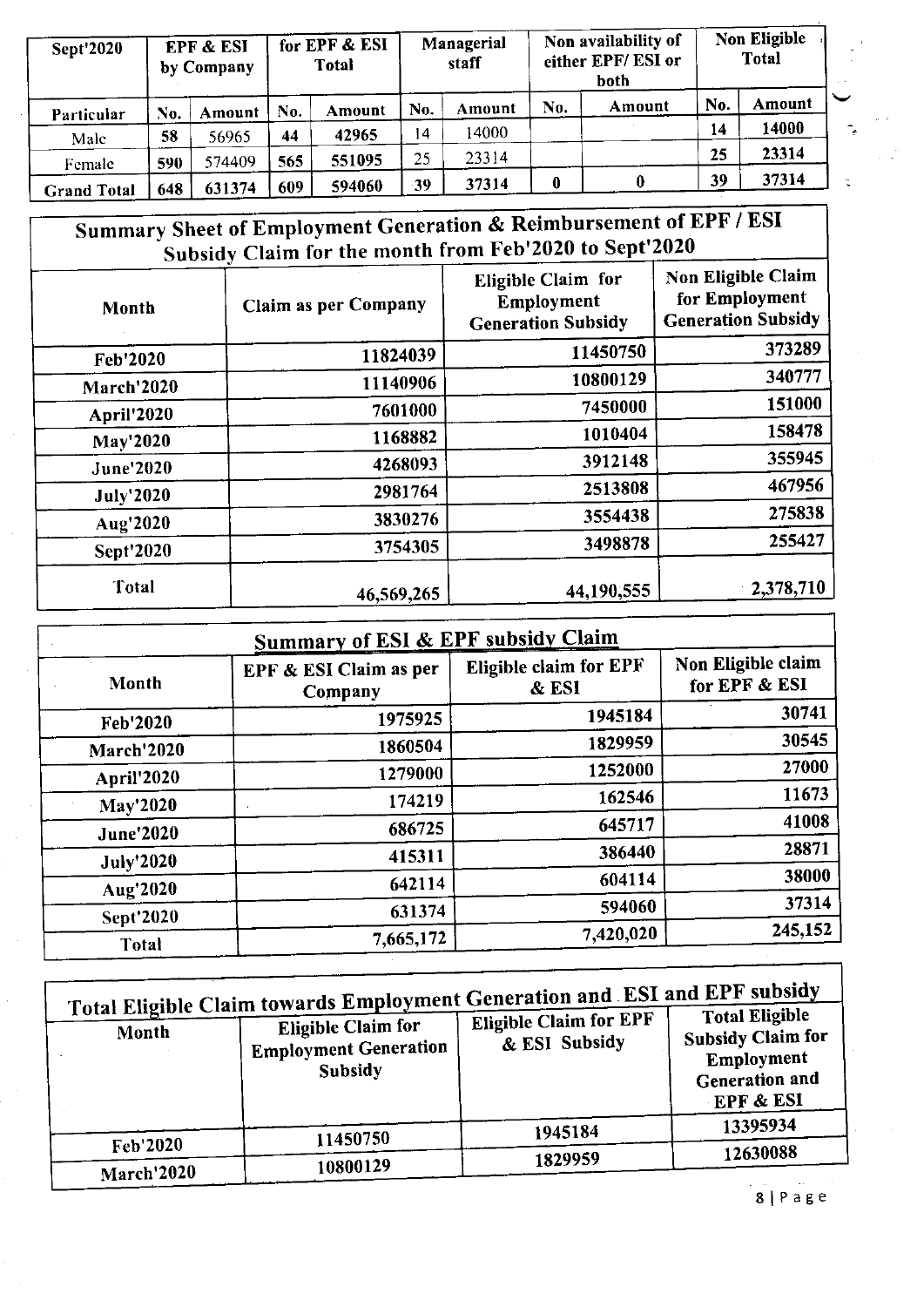| Sept'2020          |     | <b>EPF &amp; ESI</b><br>by Company |     | for EPF & ESI<br><b>Total</b> |     | Managerial<br>staff | Non availability of<br>either EPF/ESI or<br>both |        |     | Non Eligible<br><b>Total</b> |
|--------------------|-----|------------------------------------|-----|-------------------------------|-----|---------------------|--------------------------------------------------|--------|-----|------------------------------|
| Particular         | No. | Amount                             | No. | Amount                        | No. | Amount              | No.                                              | Amount | No. | Amount                       |
| Male               | 58  | 56965                              | 44  | 42965                         | 14  | 14000               |                                                  |        | 14  | 14000                        |
| Female             | 590 | 574409                             | 565 | 551095                        | 25  | 23314               |                                                  |        | 25  | 23314                        |
| <b>Grand Total</b> | 648 | 631374                             | 609 | 594060                        | -39 | 37314               | $\boldsymbol{0}$                                 |        | 39  | 37314                        |

### Summary Sheet of Employment Generation & Reimbursement of EPF / ESI Subsidy Claim for the month from Feb'2020 to Sept'2020

| Month            | <b>Claim as per Company</b> | <b>Eligible Claim for</b><br>Employment<br><b>Generation Subsidy</b> | Non Eligible Claim<br>for Employment<br><b>Generation Subsidy</b> |
|------------------|-----------------------------|----------------------------------------------------------------------|-------------------------------------------------------------------|
| Feb'2020         | 11824039                    | 11450750                                                             | 373289                                                            |
| March'2020       | 11140906                    | 10800129                                                             | 340777                                                            |
| April'2020       | 7601000                     | 7450000                                                              | 151000                                                            |
| <b>May'2020</b>  | 1168882                     | 1010404                                                              | 158478                                                            |
| <b>June'2020</b> | 4268093                     | 3912148                                                              | 355945                                                            |
| <b>July'2020</b> | 2981764                     | 2513808                                                              | 467956                                                            |
| Aug'2020         | 3830276                     | 3554438                                                              | 275838                                                            |
| <b>Sept'2020</b> | 3754305                     | 3498878                                                              | 255427                                                            |
| Total            | 46,569,265                  | 44,190,555                                                           | 2,378,710                                                         |

| <b>Summary of ESI &amp; EPF subsidy Claim</b> |                                                   |                                     |  |  |  |  |  |  |
|-----------------------------------------------|---------------------------------------------------|-------------------------------------|--|--|--|--|--|--|
| EPF & ESI Claim as per<br>Company             | Eligible claim for EPF<br>& ESI                   | Non Eligible claim<br>for EPF & ESI |  |  |  |  |  |  |
| 1975925                                       | 1945184                                           | 30741                               |  |  |  |  |  |  |
| 1860504                                       | 1829959                                           | 30545                               |  |  |  |  |  |  |
| 1279000                                       | 1252000                                           | 27000                               |  |  |  |  |  |  |
| 174219                                        | 162546                                            | 11673                               |  |  |  |  |  |  |
|                                               | 645717                                            | 41008                               |  |  |  |  |  |  |
|                                               | 386440                                            | 28871                               |  |  |  |  |  |  |
|                                               | 604114                                            | 38000                               |  |  |  |  |  |  |
|                                               |                                                   | 37314                               |  |  |  |  |  |  |
|                                               |                                                   | 245,152                             |  |  |  |  |  |  |
|                                               | 686725<br>415311<br>642114<br>631374<br>7,665,172 | 594060<br>7,420,020                 |  |  |  |  |  |  |

| Month      | Total Eligible Claim towards Employment Generation and ESI and EPF subsidy<br><b>Eligible Claim for</b><br><b>Employment Generation</b><br>Subsidy | <b>Eligible Claim for EPF</b><br>& ESI Subsidy | <b>Total Eligible</b><br><b>Subsidy Claim for</b><br>Employment<br><b>Generation and</b><br>EPF & ESI |  |
|------------|----------------------------------------------------------------------------------------------------------------------------------------------------|------------------------------------------------|-------------------------------------------------------------------------------------------------------|--|
|            | 11450750                                                                                                                                           | 1945184                                        | 13395934                                                                                              |  |
| Feb'2020   |                                                                                                                                                    | 1829959                                        | 12630088                                                                                              |  |
| March'2020 | 10800129                                                                                                                                           |                                                |                                                                                                       |  |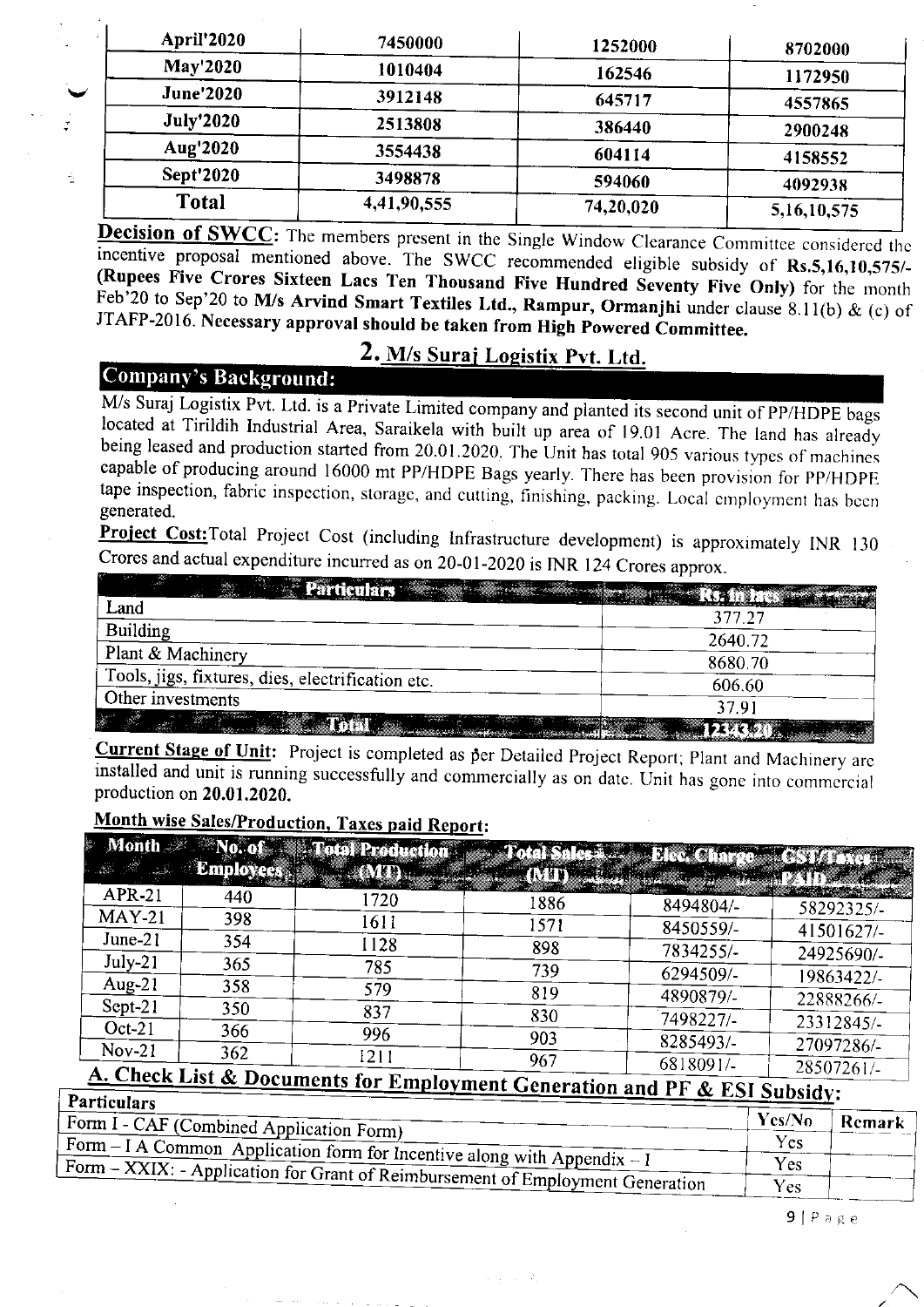| 7450000     | 1252000   | 8702000     |
|-------------|-----------|-------------|
| 1010404     | 162546    | 1172950     |
| 3912148     | 645717    | 4557865     |
| 2513808     | 386440    | 2900248     |
| 3554438     | 604114    | 4158552     |
| 3498878     | 594060    | 4092938     |
| 4,41,90,555 | 74,20,020 | 5,16,10,575 |
|             |           |             |

**Decision of SWCC:** The members present in the Single Window Clearance Committee considered the incentive proposal mentioned above. The SWCC recommended eligible subsidy of Rs.5,16,10,575/-<br>(Rupees Five Crores Sixteen Lac

### 2. M/s Suraj Logistix Pvt. Ltd.

### Company'5 Background:

Ŕ,

M/s Suraj Logistix Pvt. Ltd. is a Private Limited company and planted its second unit of PP/HDPE bags located at Tirildih Industrial Area, Saraikela with built up area of 19.01 Acre. The land has already being leased and p

**Project Cost:** Total Project Cost (including Infrastructure development) is approximately INR 130 Crores and actual expendifure incurred as on 20-01-2020 is INR 124 Crores approx.

| <b>Particulars Alberta</b>                        |         |
|---------------------------------------------------|---------|
| Land                                              | 377.27  |
| <b>Building</b>                                   | 2640.72 |
| Plant & Machinery                                 | 8680.70 |
| Tools, jigs, fixtures, dies, electrification etc. | 606.60  |
| Other investments                                 | 37.91   |
| <b>Total Executive Constitution</b>               |         |

Current Stage of Unit: Project is completed as per Detailed Project Report; Plant and Machinery arc installed and unit is runni ng successfully and commercially as on datc. Unit has gone into commcrcial production on 20.01.2020

### Month wise Sales/Production, Taxes paid Report:

|                                 |                  | Month No. of We Total Production |      | <b>Diav Charge</b> |            |
|---------------------------------|------------------|----------------------------------|------|--------------------|------------|
| <b>参考</b>                       | <b>Employees</b> | <b>ALAMPMARY</b>                 |      |                    |            |
| <b>APR-21</b>                   | 440              | 1720                             | 1886 | 8494804/-          | 58292325/- |
| $MAY-21$                        | 398              | 1611                             | 1571 | 8450559/-          | 41501627/- |
| $June-21$                       | 354              | 1128                             | 898  | 7834255/-          | 24925690/- |
| $July-21$                       | 365              | 785                              | 739  | 6294509/-          | 19863422/- |
| Aug- $21$                       | 358              | 579                              | 819  | 4890879/-          | 22888266/- |
| Sept-21                         | 350              | 837                              | 830  | 7498227/-          | 23312845/- |
| $Oct-21$<br>$Nov-21$            | 366              | 996                              | 903  | 8285493/-          | 27097286/- |
| $\triangle$ Charles $\triangle$ | 362              | 1211                             | 967  | 6818091/-          | 28507261/- |

#### A. Check List & Documents for Employment Generation and PF & ESI Subsidy: Particulars

| .                                        |                                                                                   | Yes/No     | Remark |
|------------------------------------------|-----------------------------------------------------------------------------------|------------|--------|
| Form I - CAF (Combined Application Form) |                                                                                   | Yes        |        |
|                                          | Form $- I A$ Common Application form for Incentive along with Appendix $- I$      |            |        |
|                                          | $Form - XXIX$ : - Application for Grant of Reimbursement of Employment Generation | Yes        |        |
|                                          |                                                                                   | <b>Yes</b> |        |

9 | Page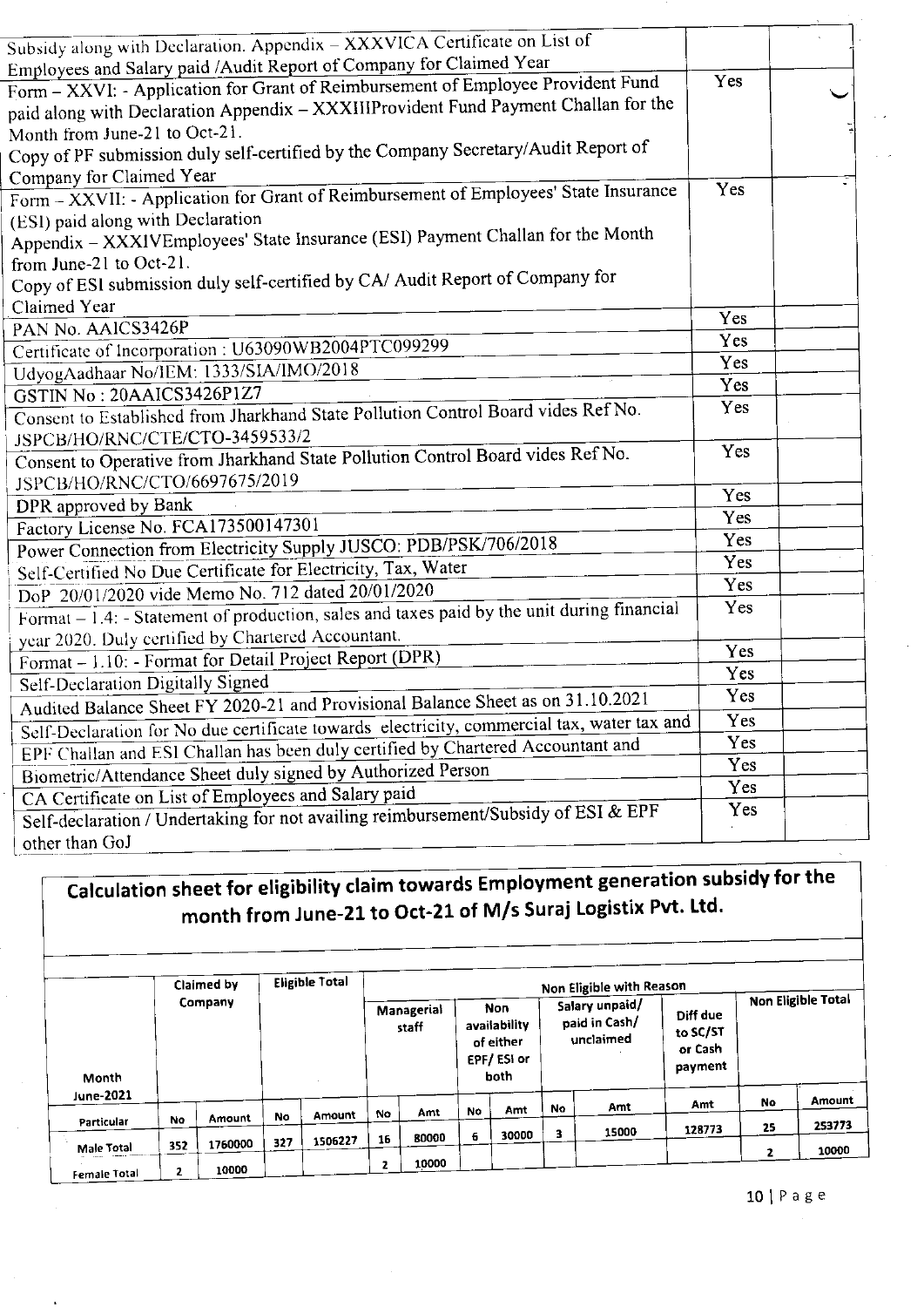| Subsidy along with Declaration. Appendix - XXXVICA Certificate on List of                                                                                               |     |  |
|-------------------------------------------------------------------------------------------------------------------------------------------------------------------------|-----|--|
| Employees and Salary paid /Audit Report of Company for Claimed Year                                                                                                     |     |  |
| Form - XXVI: - Application for Grant of Reimbursement of Employee Provident Fund<br>paid along with Declaration Appendix - XXXIIIProvident Fund Payment Challan for the | Yes |  |
| Month from June-21 to Oct-21.                                                                                                                                           |     |  |
| Copy of PF submission duly self-certified by the Company Secretary/Audit Report of                                                                                      |     |  |
| Company for Claimed Year                                                                                                                                                | Yes |  |
| Form - XXVII: - Application for Grant of Reimbursement of Employees' State Insurance                                                                                    |     |  |
| (ESI) paid along with Declaration                                                                                                                                       |     |  |
| Appendix - XXXIVEmployees' State Insurance (ESI) Payment Challan for the Month                                                                                          |     |  |
| from June-21 to Oct-21.                                                                                                                                                 |     |  |
| Copy of ESI submission duly self-certified by CA/ Audit Report of Company for                                                                                           |     |  |
| Claimed Year                                                                                                                                                            | Yes |  |
| PAN No. AAICS3426P                                                                                                                                                      | Yes |  |
| Certificate of Incorporation: U63090WB2004PTC099299                                                                                                                     | Yes |  |
| UdyogAadhaar No/IEM: 1333/SIA/IMO/2018                                                                                                                                  | Yes |  |
| GSTIN No: 20AAICS3426P1Z7                                                                                                                                               | Yes |  |
| Consent to Established from Jharkhand State Pollution Control Board vides Ref No.                                                                                       |     |  |
| JSPCB/HO/RNC/CTE/CTO-3459533/2<br>Consent to Operative from Jharkhand State Pollution Control Board vides Ref No.                                                       | Yes |  |
|                                                                                                                                                                         |     |  |
| JSPCB/HO/RNC/CTO/6697675/2019                                                                                                                                           | Yes |  |
| DPR approved by Bank                                                                                                                                                    | Yes |  |
| Factory License No. FCA173500147301                                                                                                                                     | Yes |  |
| Power Connection from Electricity Supply JUSCO: PDB/PSK/706/2018                                                                                                        | Yes |  |
| Self-Certified No Due Certificate for Electricity, Tax, Water                                                                                                           | Yes |  |
| DoP 20/01/2020 vide Memo No. 712 dated 20/01/2020<br>Format – 1.4: -Statement of production, sales and taxes paid by the unit during financial                          | Yes |  |
|                                                                                                                                                                         |     |  |
| year 2020. Duly certified by Chartered Accountant.                                                                                                                      | Yes |  |
| Format - 1.10: - Format for Detail Project Report (DPR)                                                                                                                 | Yes |  |
| Self-Declaration Digitally Signed                                                                                                                                       | Yes |  |
| Audited Balance Sheet FY 2020-21 and Provisional Balance Sheet as on 31.10.2021                                                                                         | Yes |  |
| Self-Declaration for No due certificate towards electricity, commercial tax, water tax and                                                                              | Yes |  |
| EPF Challan and ESI Challan has been duly certified by Chartered Accountant and                                                                                         | Yes |  |
| Biometric/Attendance Sheet duly signed by Authorized Person                                                                                                             | Yes |  |
| CA Certificate on List of Employees and Salary paid                                                                                                                     | Yes |  |
| Self-declaration / Undertaking for not availing reimbursement/Subsidy of ESI & EPF                                                                                      |     |  |
| other than GoJ                                                                                                                                                          |     |  |

### Calculation sheet for eligibility claim towards Employment generation subsidy for the month from June-21 to Oct-21 of M/s Suraj Logistix Pvt. Ltd.

|              |           | Claimed by |     | <b>Eligible Total</b> |    |                     |           |                                                        |           | Non Eligible with Reason                     |                                            |    |                    |
|--------------|-----------|------------|-----|-----------------------|----|---------------------|-----------|--------------------------------------------------------|-----------|----------------------------------------------|--------------------------------------------|----|--------------------|
| Month        |           | Company    |     |                       |    | Managerial<br>staff |           | Non<br>availability<br>of either<br>EPF/ESi or<br>both |           | Salary unpaid/<br>paid in Cash/<br>unclaimed | Diff due<br>to SC/ST<br>or Cash<br>payment |    | Non Eligible Total |
| June-2021    |           |            |     |                       |    |                     | <b>No</b> | Amt                                                    | <b>No</b> | Amt                                          | Amt                                        | No | Amount             |
| Particular   | <b>No</b> | Amount     | No  | Amount                | No | Amt                 |           |                                                        |           |                                              |                                            | 25 | 253773             |
|              |           |            | 327 | 1506227               | 16 | 80000               | 6.        | 30000                                                  | 3         | 15000                                        | 128773                                     |    |                    |
| Male Total   | 352       | 1760000    |     |                       |    |                     |           |                                                        |           |                                              |                                            | 2  | 10000              |
| Female Total | 2         | 10000      |     |                       | 2  | 10000               |           |                                                        |           |                                              |                                            |    |                    |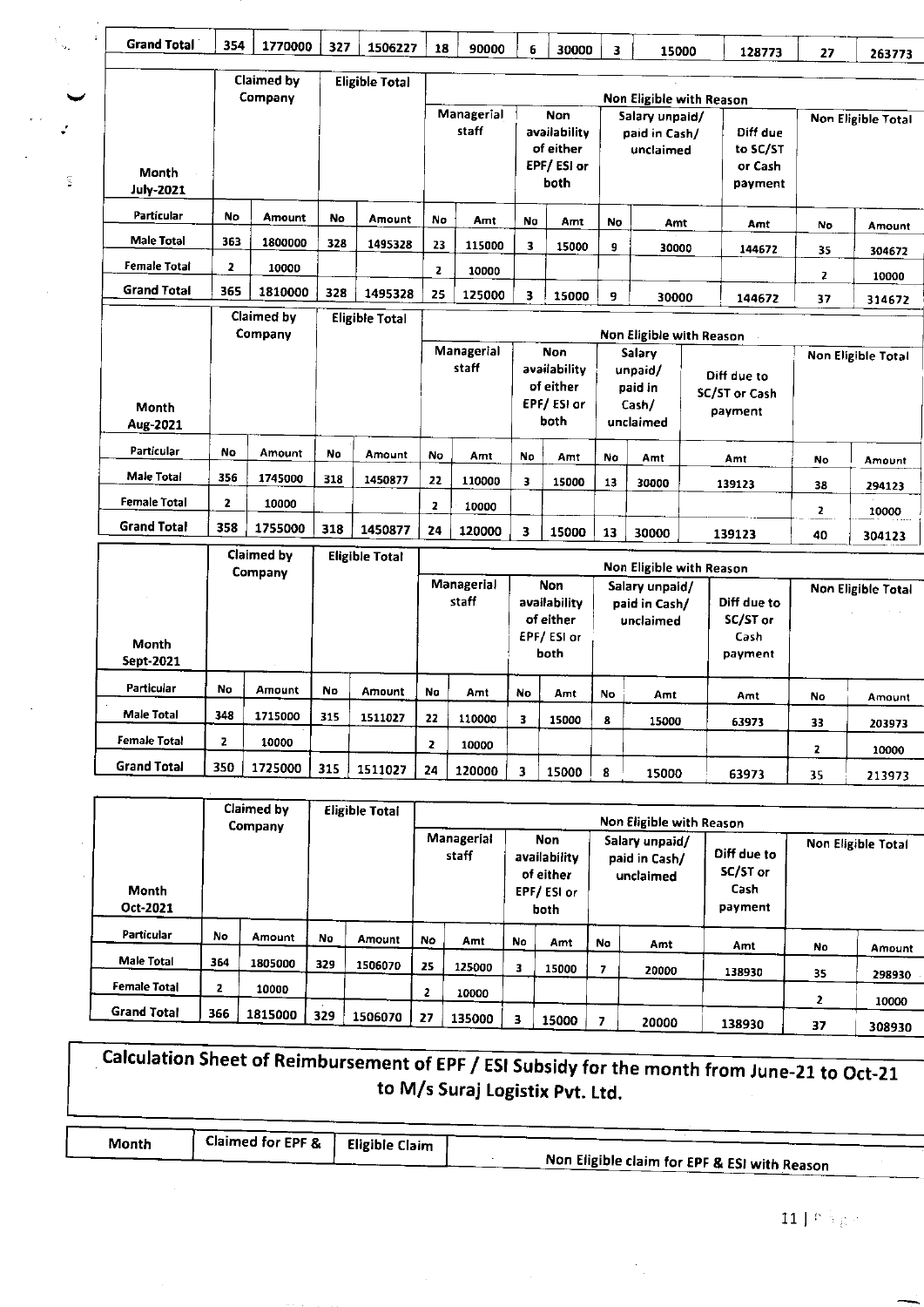| <b>Grand Total</b>        | 354          | 1770000               | 327 | 1506227               | 18                                                                                                                                                                                 | 90000               | 6                       | 30000                                                         | 3. | 15000                                              | 128773                                                                 | 27           |                    |
|---------------------------|--------------|-----------------------|-----|-----------------------|------------------------------------------------------------------------------------------------------------------------------------------------------------------------------------|---------------------|-------------------------|---------------------------------------------------------------|----|----------------------------------------------------|------------------------------------------------------------------------|--------------|--------------------|
|                           |              |                       |     |                       |                                                                                                                                                                                    |                     |                         |                                                               |    |                                                    |                                                                        |              | 263773             |
|                           |              | Claimed by<br>Company |     | <b>Eligible Total</b> |                                                                                                                                                                                    |                     |                         |                                                               |    |                                                    |                                                                        |              |                    |
| Month<br><b>July-2021</b> |              |                       |     |                       |                                                                                                                                                                                    | Managerial<br>staff |                         | Non<br>availability<br>of either<br>EPF/ESI or<br>both        |    | Salary unpaid/<br>paid in Cash/<br>unclaimed       | Non Eligible with Reason<br>Diff due<br>to SC/ST<br>or Cash<br>payment |              | Non Eligible Total |
| Particular                | No           | Amount                | No  | Amount                | No                                                                                                                                                                                 | Amt                 | No                      | Amt                                                           | No | Amt                                                | Amt                                                                    | No           | Amount             |
| <b>Male Total</b>         | 363          | 1800000               | 328 | 1495328               | 23                                                                                                                                                                                 | 115000              | 3                       | 15000                                                         | 9  | 30000                                              | 144672                                                                 | 35           | 304672             |
| Female Total              | 2            | 10000                 |     |                       | $\mathbf{z}$                                                                                                                                                                       | 10000               |                         |                                                               |    |                                                    |                                                                        | $\mathbf{z}$ | 10000              |
| <b>Grand Total</b>        | 365          | 1810000               | 328 | 1495328               | 25                                                                                                                                                                                 | 125000              | $\overline{\mathbf{3}}$ | 15000                                                         | 9  | 30000                                              | 144672                                                                 | 37           | 314672             |
|                           |              | Claimed by<br>Company |     | <b>Eligible Total</b> |                                                                                                                                                                                    |                     |                         |                                                               |    |                                                    | Non Eligible with Reason                                               |              |                    |
| Month<br>Aug-2021         |              |                       |     |                       |                                                                                                                                                                                    | Managerial<br>staff |                         | <b>Non</b><br>availability<br>of either<br>EPF/ESI or<br>both |    | Salary<br>unpaid/<br>paid in<br>Cash/<br>unclaimed | Diff due to<br>SC/ST or Cash<br>payment                                |              | Non Eligible Total |
| Particular                | No           | <b>Amount</b>         | No  | Amount                | No                                                                                                                                                                                 | Amt                 | No                      | Amt                                                           | No | Amt                                                | Amt                                                                    | No           | Amount             |
| Male Total                | 356          | 1745000               | 318 | 1450877               | 22                                                                                                                                                                                 | 110000              | 3                       | 15000                                                         | 13 | 30000                                              | 139123                                                                 | 38           | 294123             |
| <b>Female Total</b>       | $\mathbf{z}$ | 10000                 |     |                       | $\mathbf{z}$                                                                                                                                                                       | 10000               |                         |                                                               |    |                                                    |                                                                        | 2            | 10000              |
| <b>Grand Total</b>        | 358          | 1755000               | 318 | 1450877               | 24                                                                                                                                                                                 | 120000              | 3                       | 15000                                                         | 13 | 30000                                              | 139123                                                                 | 40           | 304123             |
|                           |              | Claimed by            |     | <b>Eligible Total</b> |                                                                                                                                                                                    |                     |                         |                                                               |    |                                                    | Non Eligible with Reason                                               |              |                    |
| Month<br>Sept-2021        |              | Company               |     |                       | <b>Managerial</b><br>Non<br>Salary unpaid/<br>staff<br>availability<br>Diff due to<br>paid in Cash/<br>of either<br>SC/ST or<br>unclaimed<br>EPF/ESI or<br>Cash<br>both<br>payment |                     |                         |                                                               |    | <b>Non Eligible Total</b>                          |                                                                        |              |                    |
| <b>Particular</b>         | No           | Amount                | No  | <b>Amount</b>         | Na                                                                                                                                                                                 | Amt                 | No                      | Amt                                                           | No | Amt                                                | Amt                                                                    | No           | Amount             |
| <b>Male Total</b>         | 348          | 1715000               | 315 | 1511027               | 22                                                                                                                                                                                 | 110000              | 3                       | 15000                                                         | 8  | 15000                                              | 63973                                                                  | 33           | 203973             |

 $\ddot{\cdot}$ 

 $\frac{1}{2}$ 

**Female Total** 

**Grand Total** 

 $\overline{\mathbf{z}}$ 

350

10000

1725000

 $315$ 

1511027

|                     |     | Claimed by<br>Company |     | Eligible Total |    |                     |    |                                                         |    | Non Eligible with Reason                     |                                            |    |                    |
|---------------------|-----|-----------------------|-----|----------------|----|---------------------|----|---------------------------------------------------------|----|----------------------------------------------|--------------------------------------------|----|--------------------|
| Month<br>Oct-2021   |     |                       |     |                |    | Managerial<br>staff |    | Non.<br>availability<br>of either<br>EPF/ESI or<br>both |    | Salary unpaid/<br>paid in Cash/<br>unclaimed | Diff due to<br>SC/ST or<br>Cash<br>payment |    | Non Eligible Total |
| Particular          | No  | Amount                | No  | <b>Amount</b>  | No | Amt                 | No | Amt                                                     | No | Amt                                          | Amt                                        | No | Amount             |
| Male Total          | 364 | 1805000               | 329 | 1506070        | 25 | 125000              | з. | 15000                                                   |    |                                              |                                            |    |                    |
| <b>Female Total</b> | 2   | 10000                 |     |                |    |                     |    |                                                         |    | 20000                                        | 138930                                     | 35 | 298930             |
|                     |     |                       |     |                | 2  | 10000               |    |                                                         |    |                                              |                                            | 2  | 10000              |
| <b>Grand Total</b>  | 366 | 1815000               | 329 | 1506070        | 27 | 135000              | з  | 15000                                                   |    | 20000                                        | 138930                                     | 37 | 308930             |

 $\overline{\mathbf{z}}$ 

 $\overline{\textbf{24}}$ 

10000

120000

 $\overline{3}$  15000

 $\overline{\mathbf{3}}$ 

15000

 $\pmb{8}$ 

15000

15000

 $\mathbb{R}^3$ 

63973

63973

33

 $\overline{\mathbf{2}}$ 

35

203973

10000

213973

| Calculation Sheet of Reimbursement of EPF / ESI Subsidy for the month from June-21 to Oct-21 |  |
|----------------------------------------------------------------------------------------------|--|
| to M/s Suraj Logistix Pvt. Ltd.                                                              |  |

| Month | Claimed for EPF & | Eligible Claim |                                              |
|-------|-------------------|----------------|----------------------------------------------|
|       |                   |                | Non Eligible claim for EPF & ESI with Reason |

 $\bar{\mathcal{A}}$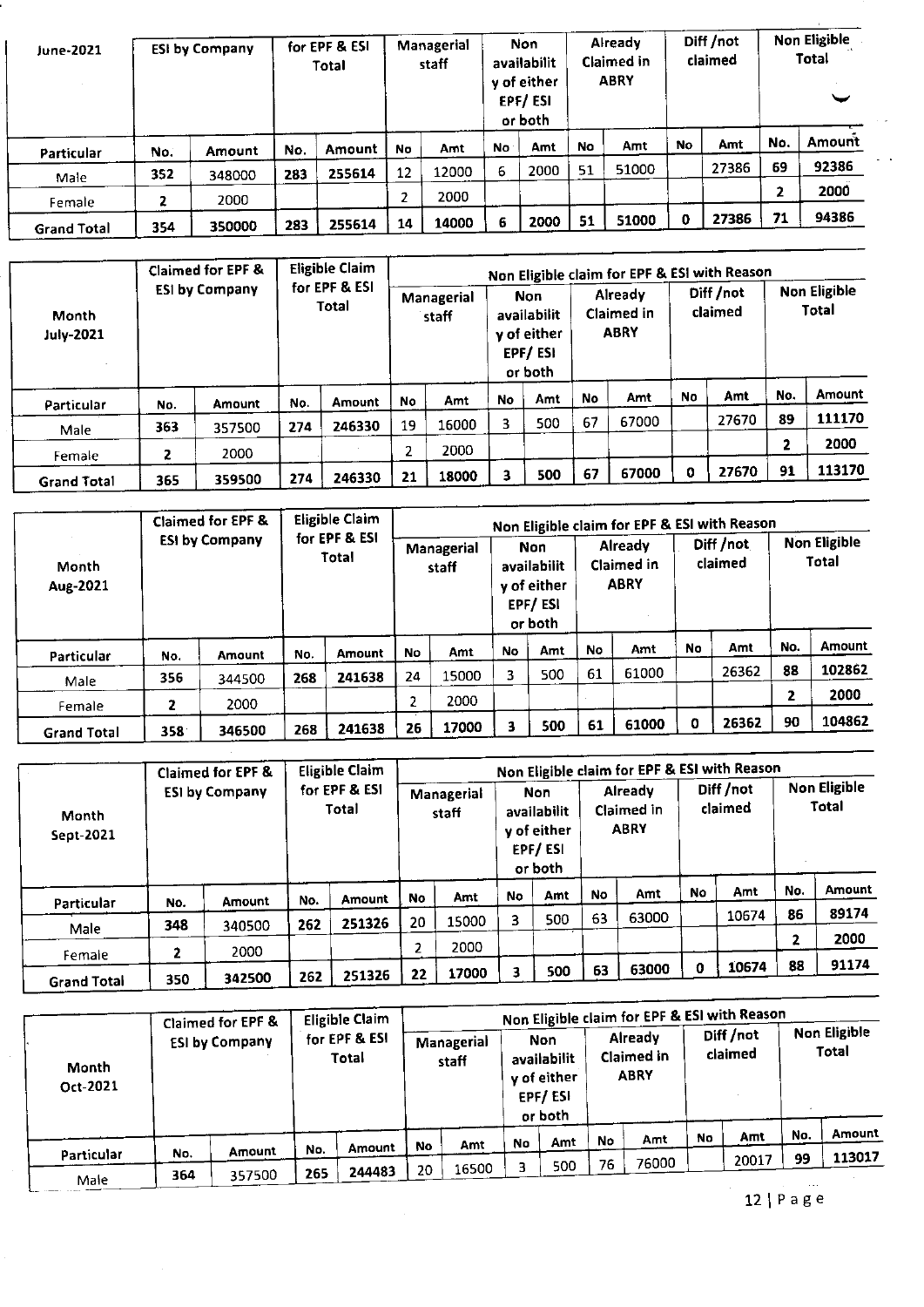| June-2021          | <b>ESI by Company</b> |        | for EPF & ESI<br>Total |        | Managerial<br>staff |       |     | Non<br>availabilit<br>y of either<br>EPF/ESI<br>or both |    | <b>Already</b><br>Claimed in<br><b>ABRY</b> | Diff /not<br>claimed |       |                | Non Eligible<br><b>Total</b> |
|--------------------|-----------------------|--------|------------------------|--------|---------------------|-------|-----|---------------------------------------------------------|----|---------------------------------------------|----------------------|-------|----------------|------------------------------|
| Particular         | No.                   | Amount | No.                    | Amount | No                  | Amt   | No. | Amt                                                     | No | Amt                                         | No                   | Amt   | No.            | Amount                       |
|                    | 352                   | 348000 | 283                    | 255614 | 12                  | 12000 | 6   | 2000                                                    | 51 | 51000                                       |                      | 27386 | 69             | 92386                        |
| Male               |                       |        |                        |        |                     |       |     |                                                         |    |                                             |                      |       | $\overline{2}$ | 2000                         |
| Female             | 2                     | 2000   |                        |        | 2                   | 2000  |     |                                                         |    |                                             |                      |       |                |                              |
| <b>Grand Total</b> | 354                   | 350000 | 283                    | 255614 | 14                  | 14000 | 6   | 2000                                                    | 51 | 51000                                       | 0                    | 27386 | 71             | 94386                        |

|                           |     | Claimed for EPF &     |     | <b>Eligible Claim</b><br>for EPF & ESI<br>Total |    |                     |    |                                                                |           | Non Eligible claim for EPF & ESI with Reason |                      |       | <b>Non Eligible</b> |              |
|---------------------------|-----|-----------------------|-----|-------------------------------------------------|----|---------------------|----|----------------------------------------------------------------|-----------|----------------------------------------------|----------------------|-------|---------------------|--------------|
| Month<br><b>July-2021</b> |     | <b>ESI by Company</b> |     |                                                 |    | Managerial<br>staff |    | <b>Non</b><br>availabilit<br>y of either<br>EPF/ESI<br>or both |           | Already<br>Claimed in<br><b>ABRY</b>         | Diff /not<br>claimed |       |                     | <b>Total</b> |
| Particular                | No. | Amount                | No. | Amount                                          | No | Amt                 | No | Amt                                                            | <b>No</b> | Amt                                          | No                   | Amt   | No.                 | Amount       |
| Male                      | 363 | 357500                | 274 | 246330                                          | 19 | 16000               | 3  | 500                                                            | 67        | 67000                                        |                      | 27670 | 89                  | 111170       |
|                           |     |                       |     |                                                 |    | 2000                |    |                                                                |           |                                              |                      |       | 2                   | 2000         |
| Female                    | 2   | 2000                  |     |                                                 |    |                     |    |                                                                |           |                                              |                      |       |                     | 113170       |
| <b>Grand Total</b>        | 365 | 359500                | 274 | 246330                                          |    | 18000<br>21         |    | 500                                                            | 67        | 67000                                        | 0                    | 27670 | 91                  |              |

|                    |     | Claimed for EPF &     |     | <b>Eligible Claim</b>  |    |                     |           |                                                         |    | Non Eligible claim for EPF & ESI with Reason |           |                      |     |                              |  |  |  |  |  |  |      |  |  |  |  |  |  |  |  |
|--------------------|-----|-----------------------|-----|------------------------|----|---------------------|-----------|---------------------------------------------------------|----|----------------------------------------------|-----------|----------------------|-----|------------------------------|--|--|--|--|--|--|------|--|--|--|--|--|--|--|--|
| Month<br>Aug-2021  |     | <b>ESI by Company</b> |     | for EPF & ESI<br>Total |    | Managerial<br>staff |           | Non<br>availabilit<br>y of either<br>EPF/ESI<br>or both |    | <b>Already</b><br>Claimed in<br><b>ABRY</b>  |           | Diff /not<br>claimed |     | <b>Non Eligible</b><br>Total |  |  |  |  |  |  |      |  |  |  |  |  |  |  |  |
| Particular         | No. | Amount                | No. | Amount                 | No | Amt                 | <b>No</b> | Amt                                                     | No | Amt                                          | <b>No</b> | Amt                  | No. | Amount                       |  |  |  |  |  |  |      |  |  |  |  |  |  |  |  |
|                    | 356 |                       | 268 | 241638                 | 24 | 15000               | 3         | 500                                                     | 61 | 61000                                        |           | 26362                | 88  | 102862                       |  |  |  |  |  |  |      |  |  |  |  |  |  |  |  |
| Male               |     | 344500                |     |                        |    |                     |           |                                                         |    |                                              |           |                      | 2   | 2000                         |  |  |  |  |  |  |      |  |  |  |  |  |  |  |  |
| Female             |     | 2000                  |     |                        |    |                     |           |                                                         |    |                                              |           |                      |     |                              |  |  |  |  |  |  | 2000 |  |  |  |  |  |  |  |  |
| <b>Grand Total</b> | 358 | 346500                | 268 | 241638                 | 26 | 17000               | ٦         | 500                                                     | 61 | 61000                                        | 0         | 26362                | 90  | 104862                       |  |  |  |  |  |  |      |  |  |  |  |  |  |  |  |

|                    |     | Claimed for EPF &     |     | <b>Eligible Claim</b>  |           |                     |           |                                                         |    | Non Eligible claim for EPF & ESI with Reason |                      |       |                              |               |  |  |  |  |  |      |  |  |  |  |  |  |   |      |
|--------------------|-----|-----------------------|-----|------------------------|-----------|---------------------|-----------|---------------------------------------------------------|----|----------------------------------------------|----------------------|-------|------------------------------|---------------|--|--|--|--|--|------|--|--|--|--|--|--|---|------|
| Month<br>Sept-2021 |     | <b>ESI by Company</b> |     | for EPF & ESI<br>Total |           | Managerial<br>staff |           | Non<br>availabilit<br>y of either<br>EPF/ESI<br>or both |    | <b>Already</b><br>Claimed in<br><b>ABRY</b>  | Diff /not<br>claimed |       | <b>Non Eligible</b><br>Total |               |  |  |  |  |  |      |  |  |  |  |  |  |   |      |
|                    |     |                       | No. | Amount                 | <b>No</b> | Amt                 | <b>No</b> | Amt                                                     | No | Amt                                          | No                   | Amt   | No.                          | <b>Amount</b> |  |  |  |  |  |      |  |  |  |  |  |  |   |      |
| Particular         | No. | <b>Amount</b>         |     |                        |           |                     | 3         | 500                                                     | 63 | 63000                                        |                      | 10674 | 86                           | 89174         |  |  |  |  |  |      |  |  |  |  |  |  |   |      |
| Male               | 348 | 340500                | 262 | 251326                 | 20        | 15000               |           |                                                         |    |                                              |                      |       |                              |               |  |  |  |  |  |      |  |  |  |  |  |  |   |      |
|                    |     | 2000                  |     |                        |           |                     |           |                                                         |    |                                              |                      |       |                              |               |  |  |  |  |  | 2000 |  |  |  |  |  |  | 2 | 2000 |
| Female             |     |                       |     |                        |           |                     |           |                                                         | 63 | 63000                                        | n                    | 10674 | 88                           | 91174         |  |  |  |  |  |      |  |  |  |  |  |  |   |      |
| <b>Grand Total</b> | 350 | 342500                | 262 | 251326                 | 22        | 17000               |           | 500                                                     |    |                                              |                      |       |                              |               |  |  |  |  |  |      |  |  |  |  |  |  |   |      |

| Month<br>Oct-2021 |     | Claimed for EPF &<br><b>ESI by Company</b> |               | <b>Eligible Claim</b><br>for EPF & ESI<br>Total |           | Managerial<br>staff |           | <b>Non</b><br>availabilit<br>y of either<br>EPF/ESI<br>or both |    | Non Eligible claim for EPF & ESI with Reason<br>Aiready<br>Claimed in<br><b>ABRY</b> |       | Diff /not<br>claimed |     | Non Eligible<br>Total |
|-------------------|-----|--------------------------------------------|---------------|-------------------------------------------------|-----------|---------------------|-----------|----------------------------------------------------------------|----|--------------------------------------------------------------------------------------|-------|----------------------|-----|-----------------------|
|                   |     |                                            |               |                                                 | <b>No</b> | Amt                 | <b>No</b> | Amt                                                            | No | Amt                                                                                  | No    | Amt                  | No. | Amount                |
| Particular        | No. | <b>Amount</b>                              | No.           | Amount                                          |           |                     |           |                                                                | 76 |                                                                                      |       |                      | 99  | 113017                |
| Male              | 364 | 357500                                     | 244483<br>265 |                                                 | 20        | 16500               |           | 500                                                            |    | 76000                                                                                | 20017 |                      |     |                       |